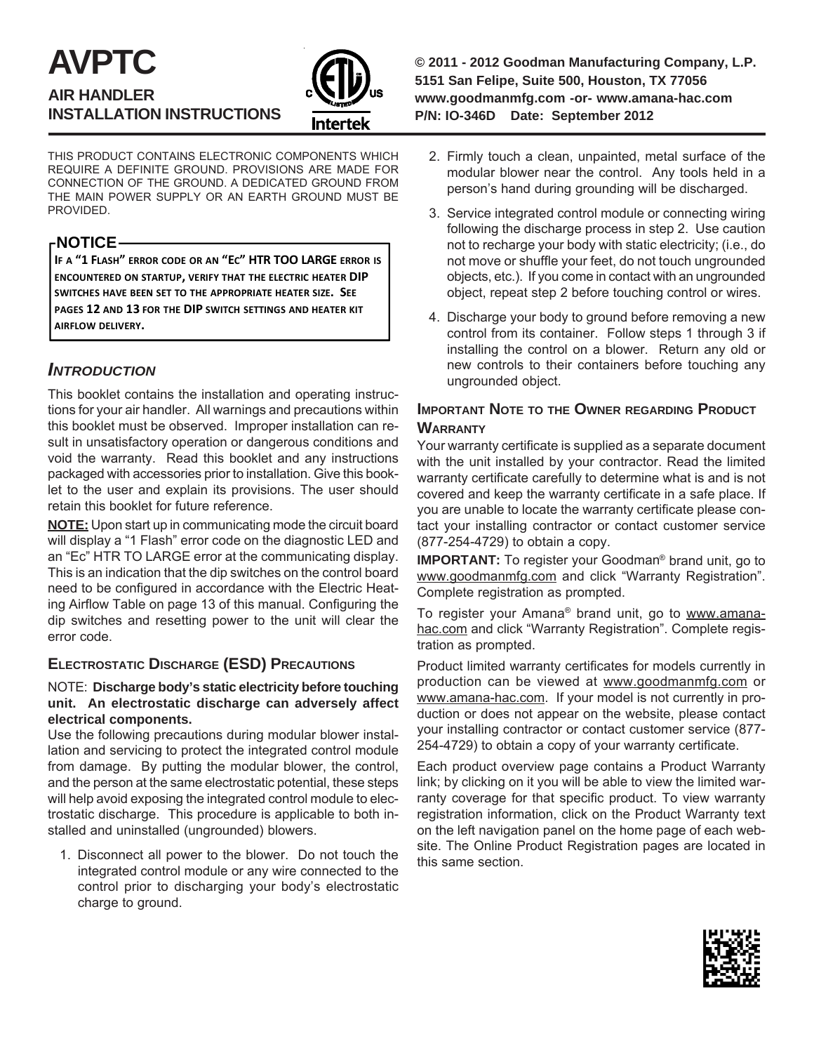# **AVPTC AIR HANDLER INSTALLATION INSTRUCTIONS**



THIS PRODUCT CONTAINS ELECTRONIC COMPONENTS WHICH REQUIRE A DEFINITE GROUND. PROVISIONS ARE MADE FOR CONNECTION OF THE GROUND. A DEDICATED GROUND FROM THE MAIN POWER SUPPLY OR AN EARTH GROUND MUST BE PROVIDED.

## **-NOTICE-**

**IF A "1 FLASH" ERROR CODE OR AN "EC" HTR TOO LARGE ERROR IS ENCOUNTERED ON STARTUP, VERIFY THAT THE ELECTRIC HEATER DIP SWITCHES HAVE BEEN SET TO THE APPROPRIATE HEATER SIZE. SEE PAGES 12 AND 13 FOR THE DIP SWITCH SETTINGS AND HEATER KIT AIRFLOW DELIVERY.**

# *INTRODUCTION*

This booklet contains the installation and operating instructions for your air handler. All warnings and precautions within this booklet must be observed. Improper installation can result in unsatisfactory operation or dangerous conditions and void the warranty. Read this booklet and any instructions packaged with accessories prior to installation. Give this booklet to the user and explain its provisions. The user should retain this booklet for future reference.

**NOTE:** Upon start up in communicating mode the circuit board will display a "1 Flash" error code on the diagnostic LED and an "Ec" HTR TO LARGE error at the communicating display. This is an indication that the dip switches on the control board need to be configured in accordance with the Electric Heating Airflow Table on page 13 of this manual. Configuring the dip switches and resetting power to the unit will clear the error code.

# **ELECTROSTATIC DISCHARGE (ESD) PRECAUTIONS**

#### NOTE: **Discharge body's static electricity before touching unit. An electrostatic discharge can adversely affect electrical components.**

Use the following precautions during modular blower installation and servicing to protect the integrated control module from damage. By putting the modular blower, the control, and the person at the same electrostatic potential, these steps will help avoid exposing the integrated control module to electrostatic discharge. This procedure is applicable to both installed and uninstalled (ungrounded) blowers.

1. Disconnect all power to the blower. Do not touch the integrated control module or any wire connected to the control prior to discharging your body's electrostatic charge to ground.

**© 2011 - 2012 Goodman Manufacturing Company, L.P. 5151 San Felipe, Suite 500, Houston, TX 77056 www.goodmanmfg.com -or- www.amana-hac.com P/N: IO-346D Date: September 2012**

- 2. Firmly touch a clean, unpainted, metal surface of the modular blower near the control. Any tools held in a person's hand during grounding will be discharged.
- 3. Service integrated control module or connecting wiring following the discharge process in step 2. Use caution not to recharge your body with static electricity; (i.e., do not move or shuffle your feet, do not touch ungrounded objects, etc.). If you come in contact with an ungrounded object, repeat step 2 before touching control or wires.
- 4. Discharge your body to ground before removing a new control from its container. Follow steps 1 through 3 if installing the control on a blower. Return any old or new controls to their containers before touching any ungrounded object.

# **IMPORTANT NOTE TO THE OWNER REGARDING PRODUCT WARRANTY**

Your warranty certificate is supplied as a separate document with the unit installed by your contractor. Read the limited warranty certificate carefully to determine what is and is not covered and keep the warranty certificate in a safe place. If you are unable to locate the warranty certificate please contact your installing contractor or contact customer service (877-254-4729) to obtain a copy.

**IMPORTANT:** To register your Goodman® brand unit, go to www.goodmanmfg.com and click "Warranty Registration". Complete registration as prompted.

To register your Amana® brand unit, go to www.amanahac.com and click "Warranty Registration". Complete registration as prompted.

Product limited warranty certificates for models currently in production can be viewed at www.goodmanmfg.com or www.amana-hac.com. If your model is not currently in production or does not appear on the website, please contact your installing contractor or contact customer service (877- 254-4729) to obtain a copy of your warranty certificate.

Each product overview page contains a Product Warranty link; by clicking on it you will be able to view the limited warranty coverage for that specific product. To view warranty registration information, click on the Product Warranty text on the left navigation panel on the home page of each website. The Online Product Registration pages are located in this same section.

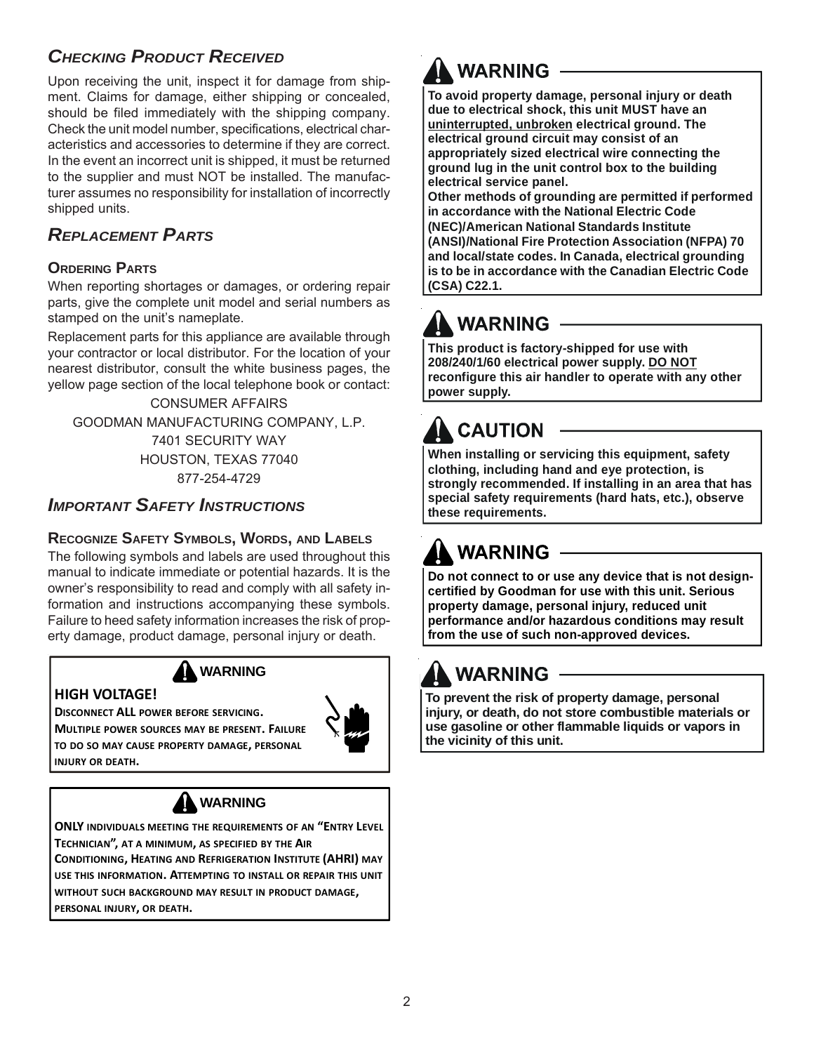# *CHECKING PRODUCT RECEIVED*

Upon receiving the unit, inspect it for damage from shipment. Claims for damage, either shipping or concealed, should be filed immediately with the shipping company. Check the unit model number, specifications, electrical characteristics and accessories to determine if they are correct. In the event an incorrect unit is shipped, it must be returned to the supplier and must NOT be installed. The manufacturer assumes no responsibility for installation of incorrectly shipped units.

# *REPLACEMENT PARTS*

## **ORDERING PARTS**

When reporting shortages or damages, or ordering repair parts, give the complete unit model and serial numbers as stamped on the unit's nameplate.

Replacement parts for this appliance are available through your contractor or local distributor. For the location of your nearest distributor, consult the white business pages, the yellow page section of the local telephone book or contact:

CONSUMER AFFAIRS GOODMAN MANUFACTURING COMPANY, L.P. 7401 SECURITY WAY HOUSTON, TEXAS 77040 877-254-4729

# *IMPORTANT SAFETY INSTRUCTIONS*

## **RECOGNIZE SAFETY SYMBOLS, WORDS, AND LABELS**

The following symbols and labels are used throughout this manual to indicate immediate or potential hazards. It is the owner's responsibility to read and comply with all safety information and instructions accompanying these symbols. Failure to heed safety information increases the risk of property damage, product damage, personal injury or death.



## **HIGH VOLTAGE!**

**DISCONNECT ALL POWER BEFORE SERVICING. MULTIPLE POWER SOURCES MAY BE PRESENT. FAILURE TO DO SO MAY CAUSE PROPERTY DAMAGE, PERSONAL INJURY OR DEATH.**



# **WARNING**

**ONLY INDIVIDUALS MEETING THE REQUIREMENTS OF AN "ENTRY LEVEL TECHNICIAN", AT A MINIMUM, AS SPECIFIED BY THE AIR**

**CONDITIONING, HEATING AND REFRIGERATION INSTITUTE (AHRI) MAY USE THIS INFORMATION. ATTEMPTING TO INSTALL OR REPAIR THIS UNIT WITHOUT SUCH BACKGROUND MAY RESULT IN PRODUCT DAMAGE, PERSONAL INJURY, OR DEATH.**

# **WARNING**

**To avoid property damage, personal injury or death due to electrical shock, this unit MUST have an uninterrupted, unbroken electrical ground. The electrical ground circuit may consist of an appropriately sized electrical wire connecting the ground lug in the unit control box to the building electrical service panel.**

**Other methods of grounding are permitted if performed in accordance with the National Electric Code (NEC)/American National Standards Institute (ANSI)/National Fire Protection Association (NFPA) 70 and local/state codes. In Canada, electrical grounding is to be in accordance with the Canadian Electric Code (CSA) C22.1.**

# **WARNING**

**This product is factory-shipped for use with 208/240/1/60 electrical power supply. DO NOT reconfigure this air handler to operate with any other power supply.**

# **CAUTION**

**When installing or servicing this equipment, safety clothing, including hand and eye protection, is strongly recommended. If installing in an area that has special safety requirements (hard hats, etc.), observe these requirements.**

# **WARNING**

**Do not connect to or use any device that is not designcertified by Goodman for use with this unit. Serious property damage, personal injury, reduced unit performance and/or hazardous conditions may result from the use of such non-approved devices.**

# **WARNING**

**To prevent the risk of property damage, personal injury, or death, do not store combustible materials or use gasoline or other flammable liquids or vapors in the vicinity of this unit.**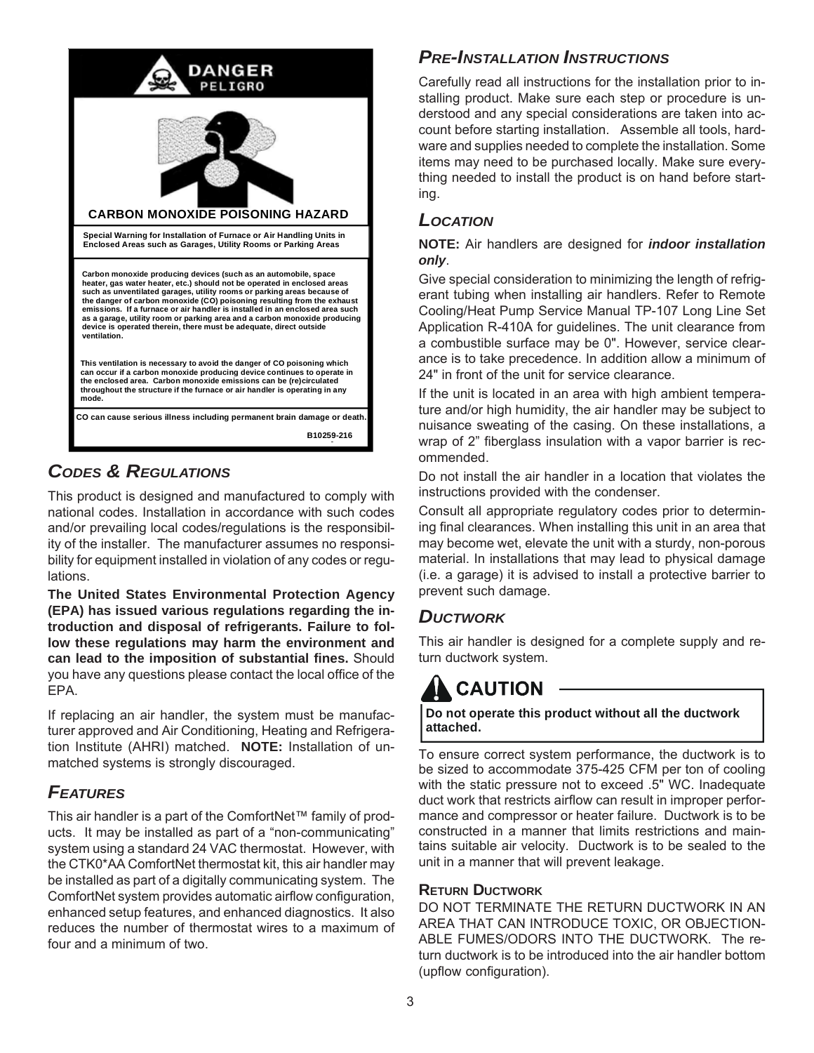

# *CODES & REGULATIONS*

This product is designed and manufactured to comply with national codes. Installation in accordance with such codes and/or prevailing local codes/regulations is the responsibility of the installer. The manufacturer assumes no responsibility for equipment installed in violation of any codes or regulations.

**The United States Environmental Protection Agency (EPA) has issued various regulations regarding the introduction and disposal of refrigerants. Failure to follow these regulations may harm the environment and can lead to the imposition of substantial fines.** Should you have any questions please contact the local office of the EPA.

If replacing an air handler, the system must be manufacturer approved and Air Conditioning, Heating and Refrigeration Institute (AHRI) matched. **NOTE:** Installation of unmatched systems is strongly discouraged.

# *FEATURES*

This air handler is a part of the ComfortNet™ family of products. It may be installed as part of a "non-communicating" system using a standard 24 VAC thermostat. However, with the CTK0\*AA ComfortNet thermostat kit, this air handler may be installed as part of a digitally communicating system. The ComfortNet system provides automatic airflow configuration, enhanced setup features, and enhanced diagnostics. It also reduces the number of thermostat wires to a maximum of four and a minimum of two.

# *PRE-INSTALLATION INSTRUCTIONS*

Carefully read all instructions for the installation prior to installing product. Make sure each step or procedure is understood and any special considerations are taken into account before starting installation. Assemble all tools, hardware and supplies needed to complete the installation. Some items may need to be purchased locally. Make sure everything needed to install the product is on hand before starting.

# *LOCATION*

#### **NOTE:** Air handlers are designed for *indoor installation only*.

Give special consideration to minimizing the length of refrigerant tubing when installing air handlers. Refer to Remote Cooling/Heat Pump Service Manual TP-107 Long Line Set Application R-410A for guidelines. The unit clearance from a combustible surface may be 0". However, service clearance is to take precedence. In addition allow a minimum of 24" in front of the unit for service clearance.

If the unit is located in an area with high ambient temperature and/or high humidity, the air handler may be subject to nuisance sweating of the casing. On these installations, a wrap of 2" fiberglass insulation with a vapor barrier is recommended.

Do not install the air handler in a location that violates the instructions provided with the condenser.

Consult all appropriate regulatory codes prior to determining final clearances. When installing this unit in an area that may become wet, elevate the unit with a sturdy, non-porous material. In installations that may lead to physical damage (i.e. a garage) it is advised to install a protective barrier to prevent such damage.

# *DUCTWORK*

This air handler is designed for a complete supply and return ductwork system.

# **CAUTION**

#### **Do not operate this product without all the ductwork attached.**

To ensure correct system performance, the ductwork is to be sized to accommodate 375-425 CFM per ton of cooling with the static pressure not to exceed .5" WC. Inadequate duct work that restricts airflow can result in improper performance and compressor or heater failure. Ductwork is to be constructed in a manner that limits restrictions and maintains suitable air velocity. Ductwork is to be sealed to the unit in a manner that will prevent leakage.

### **RETURN DUCTWORK**

DO NOT TERMINATE THE RETURN DUCTWORK IN AN AREA THAT CAN INTRODUCE TOXIC, OR OBJECTION-ABLE FUMES/ODORS INTO THE DUCTWORK. The return ductwork is to be introduced into the air handler bottom (upflow configuration).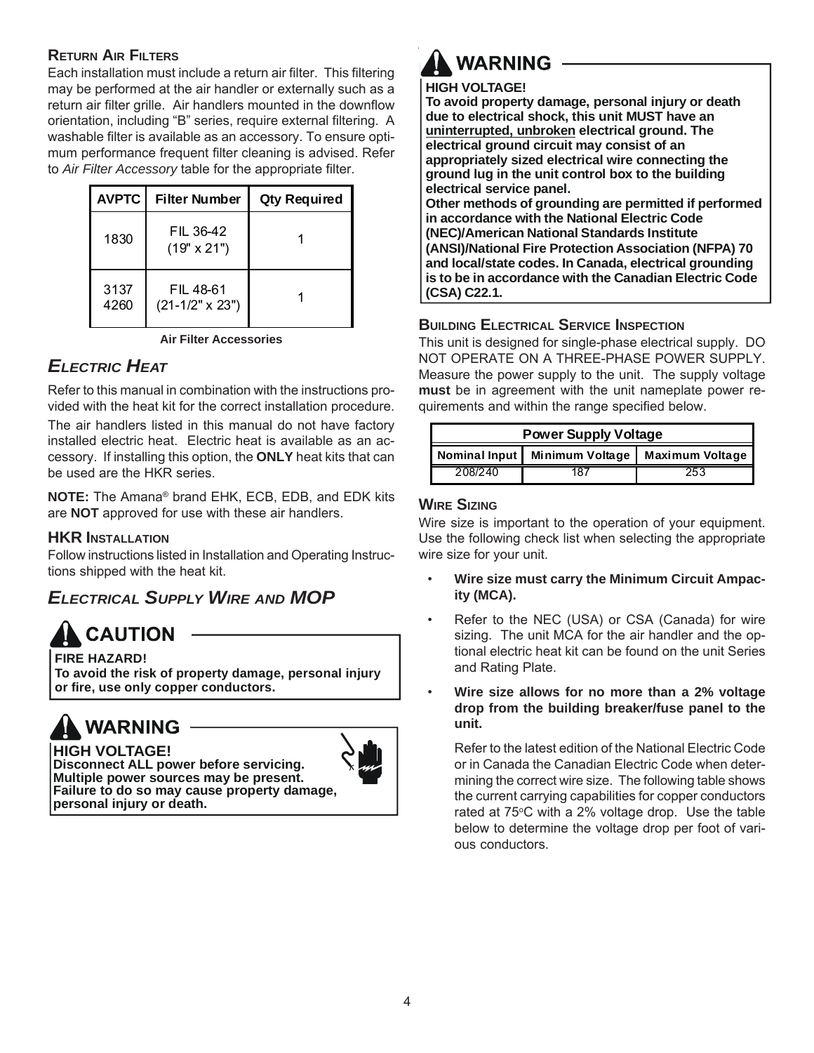## **RETURN AIR FILTERS**

Each installation must include a return air filter. This filtering may be performed at the air handler or externally such as a return air filter grille. Air handlers mounted in the downflow orientation, including "B" series, require external filtering. A washable filter is available as an accessory. To ensure optimum performance frequent filter cleaning is advised. Refer to *Air Filter Accessory* table for the appropriate filter.

| <b>AVPTC</b> | <b>Filter Number</b>                | <b>Qty Required</b> |
|--------------|-------------------------------------|---------------------|
| 1830         | FIL 36-42<br>(19" x 21")            |                     |
| 3137<br>4260 | FIL 48-61<br>$(21-1/2" \times 23")$ |                     |

**Air Filter Accessories**

# *ELECTRIC HEAT*

Refer to this manual in combination with the instructions provided with the heat kit for the correct installation procedure.

The air handlers listed in this manual do not have factory installed electric heat. Electric heat is available as an accessory. If installing this option, the **ONLY** heat kits that can be used are the HKR series.

**NOTE:** The Amana® brand EHK, ECB, EDB, and EDK kits are **NOT** approved for use with these air handlers.

### **HKR INSTALLATION**

Follow instructions listed in Installation and Operating Instructions shipped with the heat kit.

# *ELECTRICAL SUPPLY WIRE AND MOP*

**Multiple power sources may be present.**

# **CAUTION**

**FIRE HAZARD! To avoid the risk of property damage, personal injury or fire, use only copper conductors.**



#### **HIGH VOLTAGE! Disconnect ALL power before servicing.**

**personal injury or death.**

**Failure to do so may cause property damage,**

# **WARNING**

### **HIGH VOLTAGE!**

**To avoid property damage, personal injury or death due to electrical shock, this unit MUST have an uninterrupted, unbroken electrical ground. The electrical ground circuit may consist of an appropriately sized electrical wire connecting the ground lug in the unit control box to the building electrical service panel.**

**Other methods of grounding are permitted if performed in accordance with the National Electric Code (NEC)/American National Standards Institute (ANSI)/National Fire Protection Association (NFPA) 70 and local/state codes. In Canada, electrical grounding is to be in accordance with the Canadian Electric Code (CSA) C22.1.**

## **BUILDING ELECTRICAL SERVICE INSPECTION**

This unit is designed for single-phase electrical supply. DO NOT OPERATE ON A THREE-PHASE POWER SUPPLY. Measure the power supply to the unit. The supply voltage **must** be in agreement with the unit nameplate power requirements and within the range specified below.

| <b>Power Supply Voltage</b>                      |     |     |  |  |  |  |  |  |  |
|--------------------------------------------------|-----|-----|--|--|--|--|--|--|--|
| Nominal Input Minimum Voltage<br>Maximum Voltage |     |     |  |  |  |  |  |  |  |
| 208/240                                          | 187 | 253 |  |  |  |  |  |  |  |

## **WIRE SIZING**

Wire size is important to the operation of your equipment. Use the following check list when selecting the appropriate wire size for your unit.

- **Wire size must carry the Minimum Circuit Ampacity (MCA).**
- Refer to the NEC (USA) or CSA (Canada) for wire sizing. The unit MCA for the air handler and the optional electric heat kit can be found on the unit Series and Rating Plate.
- **Wire size allows for no more than a 2% voltage drop from the building breaker/fuse panel to the unit.**

Refer to the latest edition of the National Electric Code or in Canada the Canadian Electric Code when determining the correct wire size. The following table shows the current carrying capabilities for copper conductors rated at 75°C with a 2% voltage drop. Use the table below to determine the voltage drop per foot of various conductors.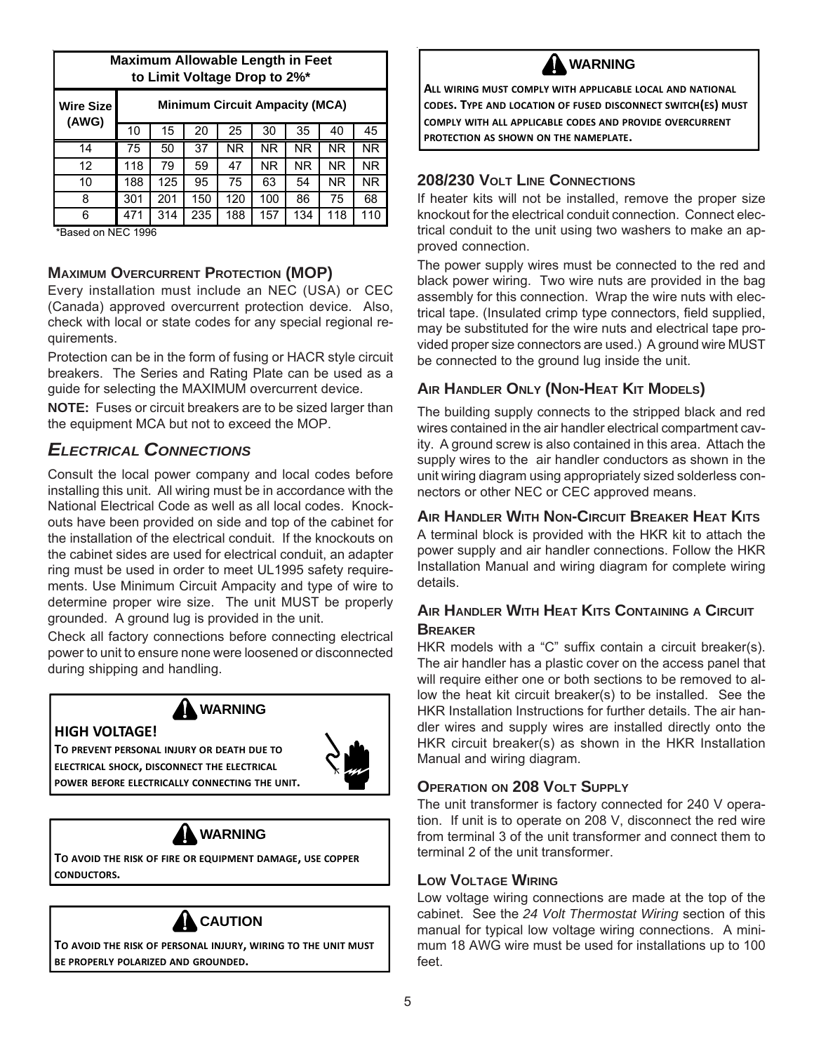|                           | <b>Maximum Allowable Length in Feet</b><br>to Limit Voltage Drop to 2%* |                                       |     |           |           |           |           |                |  |  |  |  |
|---------------------------|-------------------------------------------------------------------------|---------------------------------------|-----|-----------|-----------|-----------|-----------|----------------|--|--|--|--|
| <b>Wire Size</b><br>(AWG) |                                                                         | <b>Minimum Circuit Ampacity (MCA)</b> |     |           |           |           |           |                |  |  |  |  |
|                           | 10                                                                      | 15                                    | 20  | 25        | 30        | 35        | 40        | 45             |  |  |  |  |
| 14                        | 75                                                                      | 50                                    | 37  | <b>NR</b> | <b>NR</b> | <b>NR</b> | NR.       | N <sub>R</sub> |  |  |  |  |
| 12                        | 118                                                                     | 79                                    | 59  | 47        | NR.       | <b>NR</b> | <b>NR</b> | NR.            |  |  |  |  |
| 10                        | 188                                                                     | 125                                   | 95  | 75        | 63        | 54        | NR.       | NR.            |  |  |  |  |
| 8                         | 301                                                                     | 201                                   | 150 | 120       | 100       | 86        | 75        | 68             |  |  |  |  |
| 6                         |                                                                         | 314                                   | 235 | 188       | 157       | 134       | 118       | 110            |  |  |  |  |

\*Based on NEC 1996

### **MAXIMUM OVERCURRENT PROTECTION (MOP)**

Every installation must include an NEC (USA) or CEC (Canada) approved overcurrent protection device. Also, check with local or state codes for any special regional requirements.

Protection can be in the form of fusing or HACR style circuit breakers. The Series and Rating Plate can be used as a guide for selecting the MAXIMUM overcurrent device.

**NOTE:** Fuses or circuit breakers are to be sized larger than the equipment MCA but not to exceed the MOP.

# *ELECTRICAL CONNECTIONS*

Consult the local power company and local codes before installing this unit. All wiring must be in accordance with the National Electrical Code as well as all local codes. Knockouts have been provided on side and top of the cabinet for the installation of the electrical conduit. If the knockouts on the cabinet sides are used for electrical conduit, an adapter ring must be used in order to meet UL1995 safety requirements. Use Minimum Circuit Ampacity and type of wire to determine proper wire size. The unit MUST be properly grounded. A ground lug is provided in the unit.

Check all factory connections before connecting electrical power to unit to ensure none were loosened or disconnected during shipping and handling.





**TO PREVENT PERSONAL INJURY OR DEATH DUE TO ELECTRICAL SHOCK, DISCONNECT THE ELECTRICAL POWER BEFORE ELECTRICALLY CONNECTING THE UNIT.**



**TO AVOID THE RISK OF FIRE OR EQUIPMENT DAMAGE, USE COPPER CONDUCTORS.**



**TO AVOID THE RISK OF PERSONAL INJURY, WIRING TO THE UNIT MUST BE PROPERLY POLARIZED AND GROUNDED.**



**ALL WIRING MUST COMPLY WITH APPLICABLE LOCAL AND NATIONAL CODES. TYPE AND LOCATION OF FUSED DISCONNECT SWITCH(ES) MUST COMPLY WITH ALL APPLICABLE CODES AND PROVIDE OVERCURRENT PROTECTION AS SHOWN ON THE NAMEPLATE.**

## **208/230 VOLT LINE CONNECTIONS**

If heater kits will not be installed, remove the proper size knockout for the electrical conduit connection. Connect electrical conduit to the unit using two washers to make an approved connection.

The power supply wires must be connected to the red and black power wiring. Two wire nuts are provided in the bag assembly for this connection. Wrap the wire nuts with electrical tape. (Insulated crimp type connectors, field supplied, may be substituted for the wire nuts and electrical tape provided proper size connectors are used.) A ground wire MUST be connected to the ground lug inside the unit.

## **AIR HANDLER ONLY (NON-HEAT KIT MODELS)**

The building supply connects to the stripped black and red wires contained in the air handler electrical compartment cavity. A ground screw is also contained in this area. Attach the supply wires to the air handler conductors as shown in the unit wiring diagram using appropriately sized solderless connectors or other NEC or CEC approved means.

## **AIR HANDLER WITH NON-CIRCUIT BREAKER HEAT KITS**

A terminal block is provided with the HKR kit to attach the power supply and air handler connections. Follow the HKR Installation Manual and wiring diagram for complete wiring details.

## **AIR HANDLER WITH HEAT KITS CONTAINING A CIRCUIT BREAKER**

HKR models with a "C" suffix contain a circuit breaker(s). The air handler has a plastic cover on the access panel that will require either one or both sections to be removed to allow the heat kit circuit breaker(s) to be installed. See the HKR Installation Instructions for further details. The air handler wires and supply wires are installed directly onto the HKR circuit breaker(s) as shown in the HKR Installation Manual and wiring diagram.

#### **OPERATION ON 208 VOLT SUPPLY**

The unit transformer is factory connected for 240 V operation. If unit is to operate on 208 V, disconnect the red wire from terminal 3 of the unit transformer and connect them to terminal 2 of the unit transformer.

### **LOW VOLTAGE WIRING**

Low voltage wiring connections are made at the top of the cabinet. See the *24 Volt Thermostat Wiring* section of this manual for typical low voltage wiring connections. A minimum 18 AWG wire must be used for installations up to 100 feet.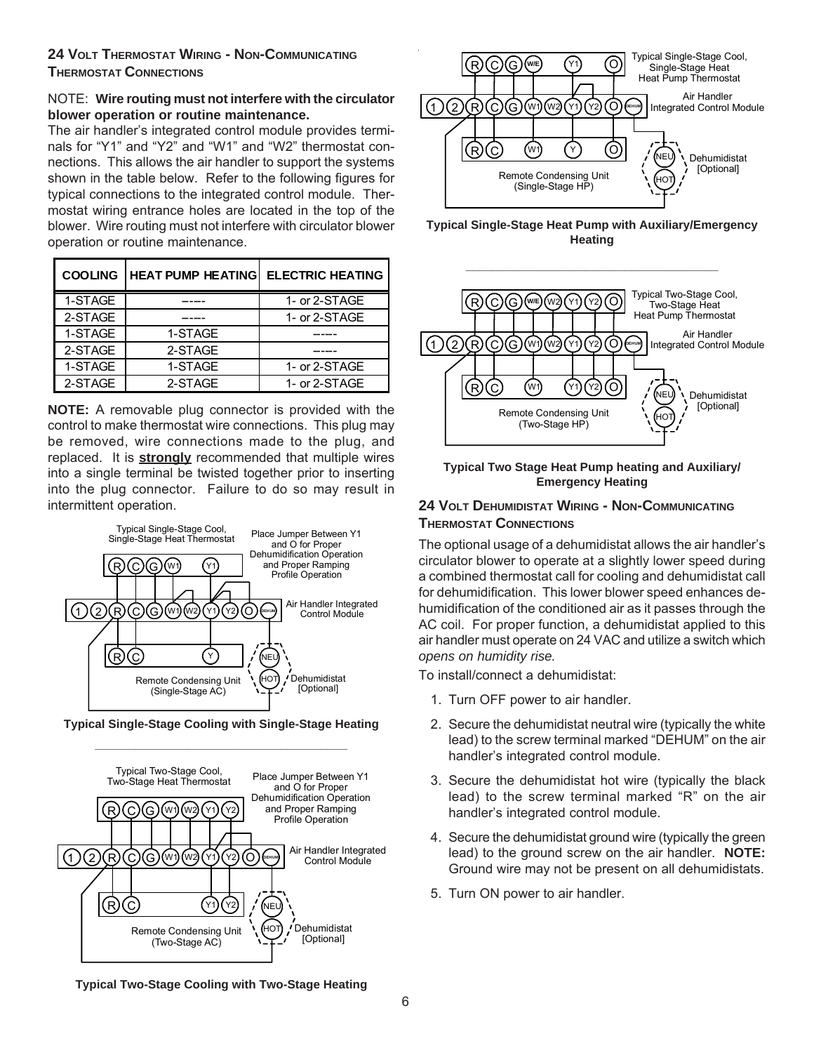### **24 VOLT THERMOSTAT WIRING - NON-COMMUNICATING THERMOSTAT CONNECTIONS**

#### NOTE: **Wire routing must not interfere with the circulator blower operation or routine maintenance.**

The air handler's integrated control module provides terminals for "Y1" and "Y2" and "W1" and "W2" thermostat connections. This allows the air handler to support the systems shown in the table below. Refer to the following figures for typical connections to the integrated control module. Thermostat wiring entrance holes are located in the top of the blower. Wire routing must not interfere with circulator blower operation or routine maintenance.

| <b>COOLING</b> | <b>HEAT PUMP HEATING</b> | <b>ELECTRIC HEATING</b> |
|----------------|--------------------------|-------------------------|
| 1-STAGE        |                          | 1- or 2-STAGE           |
| 2-STAGE        |                          | 1- or 2-STAGE           |
| 1-STAGE        | 1-STAGE                  |                         |
| 2-STAGE        | 2-STAGE                  |                         |
| 1-STAGE        | 1-STAGE                  | 1- or 2-STAGE           |
| 2-STAGE        | 2-STAGE                  | 1- or 2-STAGE           |

**NOTE:** A removable plug connector is provided with the control to make thermostat wire connections. This plug may be removed, wire connections made to the plug, and replaced. It is **strongly** recommended that multiple wires into a single terminal be twisted together prior to inserting into the plug connector. Failure to do so may result in intermittent operation.









**Typical Single-Stage Heat Pump with Auxiliary/Emergency Heating**



#### **Typical Two Stage Heat Pump heating and Auxiliary/ Emergency Heating**

## **24 VOLT DEHUMIDISTAT WIRING - NON-COMMUNICATING THERMOSTAT CONNECTIONS**

The optional usage of a dehumidistat allows the air handler's circulator blower to operate at a slightly lower speed during a combined thermostat call for cooling and dehumidistat call for dehumidification. This lower blower speed enhances dehumidification of the conditioned air as it passes through the AC coil. For proper function, a dehumidistat applied to this air handler must operate on 24 VAC and utilize a switch which *opens on humidity rise.*

To install/connect a dehumidistat:

- 1. Turn OFF power to air handler.
- 2. Secure the dehumidistat neutral wire (typically the white lead) to the screw terminal marked "DEHUM" on the air handler's integrated control module.
- 3. Secure the dehumidistat hot wire (typically the black lead) to the screw terminal marked "R" on the air handler's integrated control module.
- 4. Secure the dehumidistat ground wire (typically the green lead) to the ground screw on the air handler. **NOTE:** Ground wire may not be present on all dehumidistats.
- 5. Turn ON power to air handler.

#### **Typical Two-Stage Cooling with Two-Stage Heating**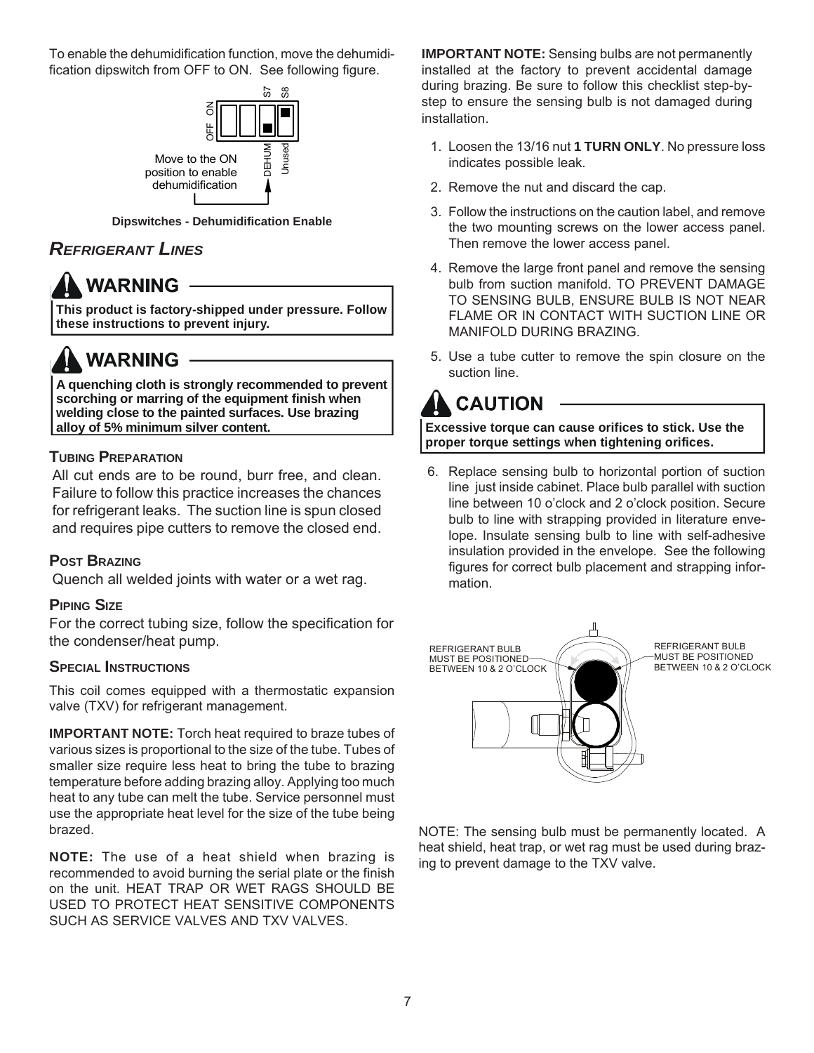To enable the dehumidification function, move the dehumidification dipswitch from OFF to ON. See following figure.



**Dipswitches - Dehumidification Enable**

# *REFRIGERANT LINES*

# **WARNING**

**This product is factory-shipped under pressure. Follow these instructions to prevent injury.**

# **WARNING**

**A quenching cloth is strongly recommended to prevent scorching or marring of the equipment finish when welding close to the painted surfaces. Use brazing alloy of 5% minimum silver content.**

# **TUBING PREPARATION**

All cut ends are to be round, burr free, and clean. Failure to follow this practice increases the chances for refrigerant leaks. The suction line is spun closed and requires pipe cutters to remove the closed end.

## **POST BRAZING**

Quench all welded joints with water or a wet rag.

### **PIPING SIZE**

For the correct tubing size, follow the specification for the condenser/heat pump.

### **SPECIAL INSTRUCTIONS**

This coil comes equipped with a thermostatic expansion valve (TXV) for refrigerant management.

**IMPORTANT NOTE:** Torch heat required to braze tubes of various sizes is proportional to the size of the tube. Tubes of smaller size require less heat to bring the tube to brazing temperature before adding brazing alloy. Applying too much heat to any tube can melt the tube. Service personnel must use the appropriate heat level for the size of the tube being brazed.

**NOTE:** The use of a heat shield when brazing is recommended to avoid burning the serial plate or the finish on the unit. HEAT TRAP OR WET RAGS SHOULD BE USED TO PROTECT HEAT SENSITIVE COMPONENTS SUCH AS SERVICE VALVES AND TXV VALVES.

**IMPORTANT NOTE:** Sensing bulbs are not permanently installed at the factory to prevent accidental damage during brazing. Be sure to follow this checklist step-bystep to ensure the sensing bulb is not damaged during installation.

- 1. Loosen the 13/16 nut **1 TURN ONLY**. No pressure loss indicates possible leak.
- 2. Remove the nut and discard the cap.
- 3. Follow the instructions on the caution label, and remove the two mounting screws on the lower access panel. Then remove the lower access panel.
- 4. Remove the large front panel and remove the sensing bulb from suction manifold. TO PREVENT DAMAGE TO SENSING BULB, ENSURE BULB IS NOT NEAR FLAME OR IN CONTACT WITH SUCTION LINE OR MANIFOLD DURING BRAZING.
- 5. Use a tube cutter to remove the spin closure on the suction line.

# **CAUTION**

**Excessive torque can cause orifices to stick. Use the proper torque settings when tightening orifices.**

6. Replace sensing bulb to horizontal portion of suction line just inside cabinet. Place bulb parallel with suction line between 10 o'clock and 2 o'clock position. Secure bulb to line with strapping provided in literature envelope. Insulate sensing bulb to line with self-adhesive insulation provided in the envelope. See the following figures for correct bulb placement and strapping information.



NOTE: The sensing bulb must be permanently located. A heat shield, heat trap, or wet rag must be used during brazing to prevent damage to the TXV valve.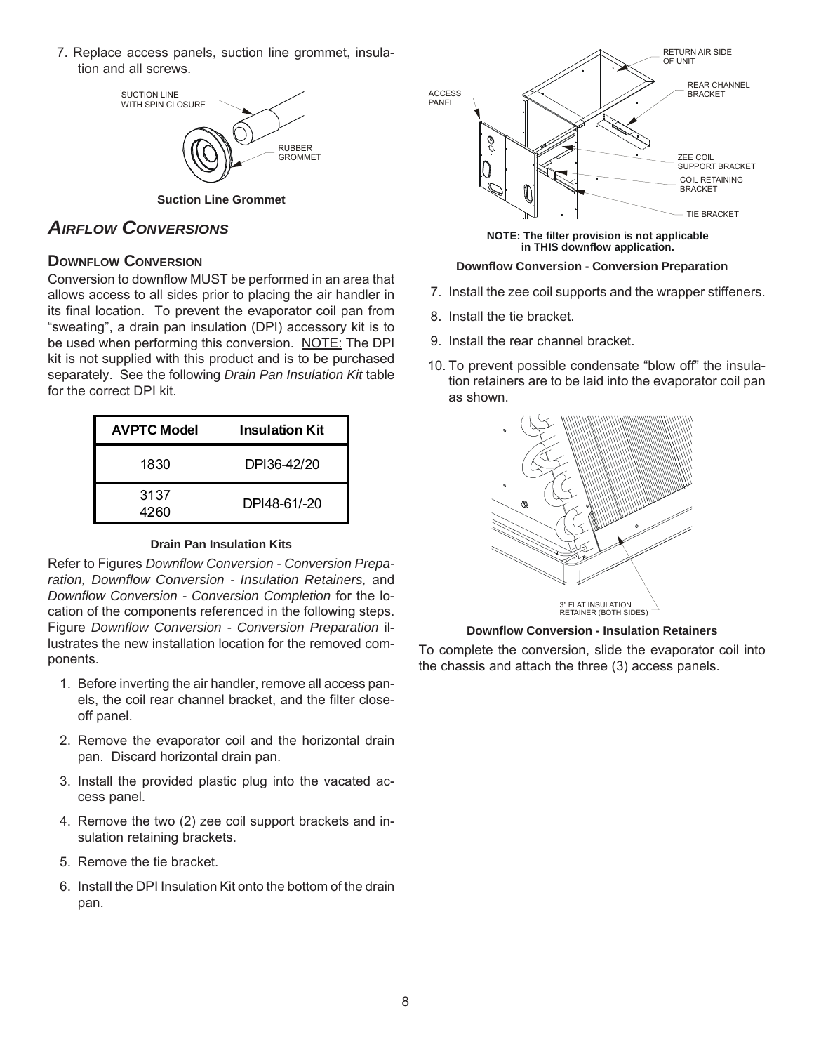7. Replace access panels, suction line grommet, insulation and all screws.



**Suction Line Grommet**

# *AIRFLOW CONVERSIONS*

### **DOWNELOW CONVERSION**

Conversion to downflow MUST be performed in an area that allows access to all sides prior to placing the air handler in its final location. To prevent the evaporator coil pan from "sweating", a drain pan insulation (DPI) accessory kit is to be used when performing this conversion. NOTE: The DPI kit is not supplied with this product and is to be purchased separately. See the following *Drain Pan Insulation Kit* table for the correct DPI kit.

| <b>AVPTC Model</b> | <b>Insulation Kit</b> |
|--------------------|-----------------------|
| 1830               | DPI36-42/20           |
| 3137<br>4260       | DPI48-61/-20          |

#### **Drain Pan Insulation Kits**

Refer to Figures *Downflow Conversion - Conversion Preparation, Downflow Conversion - Insulation Retainers,* and *Downflow Conversion - Conversion Completion* for the location of the components referenced in the following steps. Figure *Downflow Conversion - Conversion Preparation* illustrates the new installation location for the removed components.

- 1. Before inverting the air handler, remove all access panels, the coil rear channel bracket, and the filter closeoff panel.
- 2. Remove the evaporator coil and the horizontal drain pan. Discard horizontal drain pan.
- 3. Install the provided plastic plug into the vacated access panel.
- 4. Remove the two (2) zee coil support brackets and insulation retaining brackets.
- 5. Remove the tie bracket.
- 6. Install the DPI Insulation Kit onto the bottom of the drain pan.



**NOTE: The filter provision is not applicable in THIS downflow application.**

#### **Downflow Conversion - Conversion Preparation**

- 7. Install the zee coil supports and the wrapper stiffeners.
- 8. Install the tie bracket.
- 9. Install the rear channel bracket.
- 10. To prevent possible condensate "blow off" the insulation retainers are to be laid into the evaporator coil pan as shown.



#### **Downflow Conversion - Insulation Retainers**

To complete the conversion, slide the evaporator coil into the chassis and attach the three (3) access panels.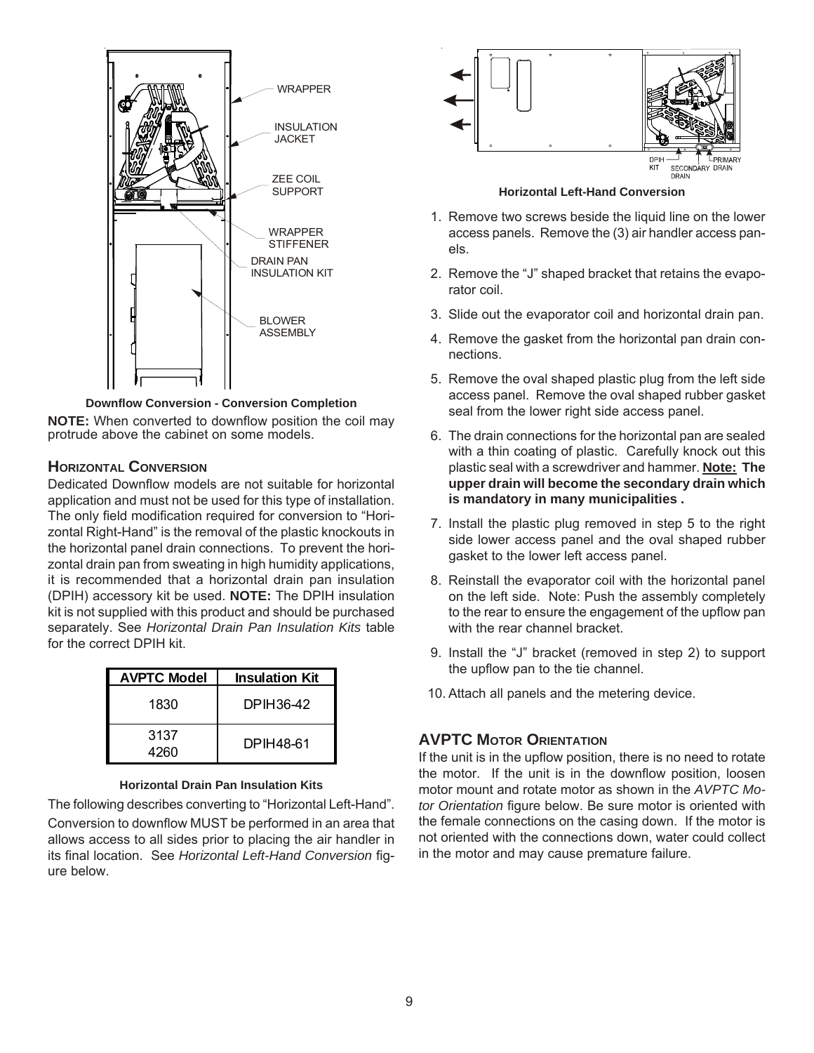

**Downflow Conversion - Conversion Completion**

**NOTE:** When converted to downflow position the coil may protrude above the cabinet on some models.

#### **HORIZONTAL CONVERSION**

Dedicated Downflow models are not suitable for horizontal application and must not be used for this type of installation. The only field modification required for conversion to "Horizontal Right-Hand" is the removal of the plastic knockouts in the horizontal panel drain connections. To prevent the horizontal drain pan from sweating in high humidity applications, it is recommended that a horizontal drain pan insulation (DPIH) accessory kit be used. **NOTE:** The DPIH insulation kit is not supplied with this product and should be purchased separately. See *Horizontal Drain Pan Insulation Kits* table for the correct DPIH kit.

| <b>AVPTC Model</b> | <b>Insulation Kit</b> |
|--------------------|-----------------------|
| 1830               | DPIH36-42             |
| 3137<br>4260       | DPIH48-61             |

#### **Horizontal Drain Pan Insulation Kits**

The following describes converting to "Horizontal Left-Hand". Conversion to downflow MUST be performed in an area that allows access to all sides prior to placing the air handler in its final location. See *Horizontal Left-Hand Conversion* figure below.



#### **Horizontal Left-Hand Conversion**

- 1. Remove two screws beside the liquid line on the lower access panels. Remove the (3) air handler access panels.
- 2. Remove the "J" shaped bracket that retains the evaporator coil.
- 3. Slide out the evaporator coil and horizontal drain pan.
- 4. Remove the gasket from the horizontal pan drain connections.
- 5. Remove the oval shaped plastic plug from the left side access panel. Remove the oval shaped rubber gasket seal from the lower right side access panel.
- 6. The drain connections for the horizontal pan are sealed with a thin coating of plastic. Carefully knock out this plastic seal with a screwdriver and hammer. **Note: The upper drain will become the secondary drain which is mandatory in many municipalities .**
- 7. Install the plastic plug removed in step 5 to the right side lower access panel and the oval shaped rubber gasket to the lower left access panel.
- 8. Reinstall the evaporator coil with the horizontal panel on the left side. Note: Push the assembly completely to the rear to ensure the engagement of the upflow pan with the rear channel bracket.
- 9. Install the "J" bracket (removed in step 2) to support the upflow pan to the tie channel.
- 10. Attach all panels and the metering device.

## **AVPTC MOTOR ORIENTATION**

If the unit is in the upflow position, there is no need to rotate the motor. If the unit is in the downflow position, loosen motor mount and rotate motor as shown in the *AVPTC Motor Orientation* figure below. Be sure motor is oriented with the female connections on the casing down. If the motor is not oriented with the connections down, water could collect in the motor and may cause premature failure.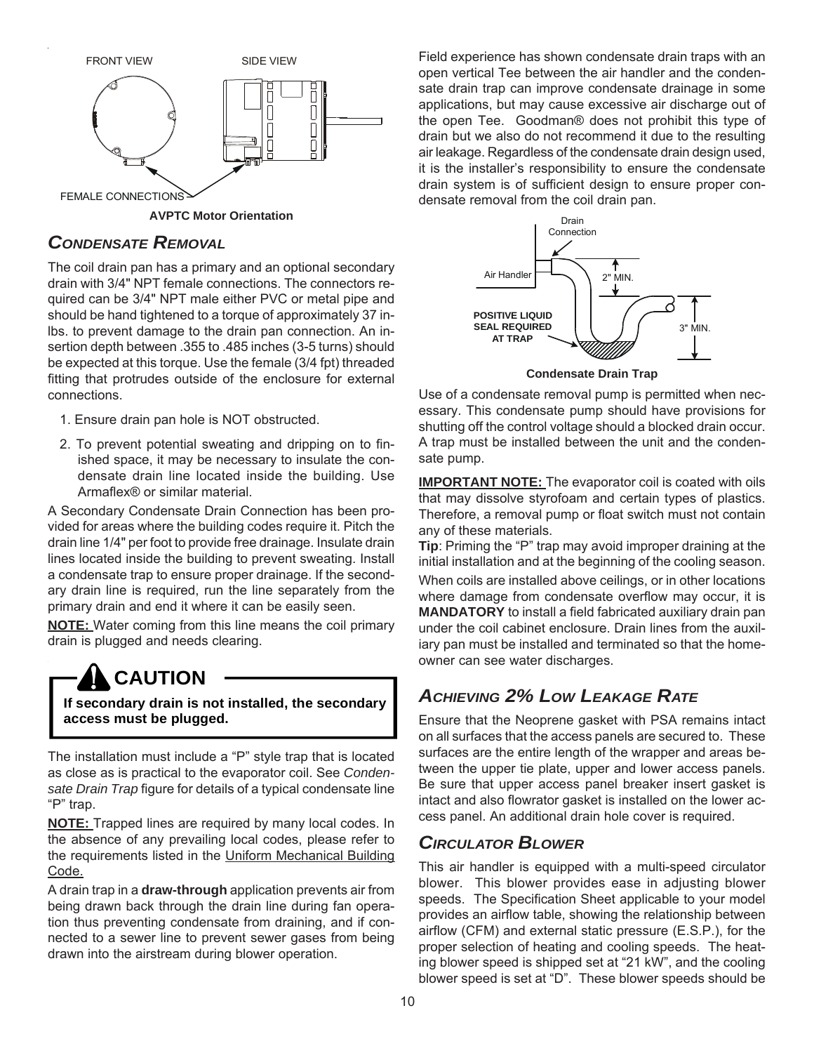

**AVPTC Motor Orientation**

## *CONDENSATE REMOVAL*

The coil drain pan has a primary and an optional secondary drain with 3/4" NPT female connections. The connectors required can be 3/4" NPT male either PVC or metal pipe and should be hand tightened to a torque of approximately 37 inlbs. to prevent damage to the drain pan connection. An insertion depth between .355 to .485 inches (3-5 turns) should be expected at this torque. Use the female (3/4 fpt) threaded fitting that protrudes outside of the enclosure for external connections.

- 1. Ensure drain pan hole is NOT obstructed.
- 2. To prevent potential sweating and dripping on to finished space, it may be necessary to insulate the condensate drain line located inside the building. Use Armaflex® or similar material.

A Secondary Condensate Drain Connection has been provided for areas where the building codes require it. Pitch the drain line 1/4" per foot to provide free drainage. Insulate drain lines located inside the building to prevent sweating. Install a condensate trap to ensure proper drainage. If the secondary drain line is required, run the line separately from the primary drain and end it where it can be easily seen.

**NOTE:** Water coming from this line means the coil primary drain is plugged and needs clearing.

# **CAUTION**

**If secondary drain is not installed, the secondary access must be plugged.**

The installation must include a "P" style trap that is located as close as is practical to the evaporator coil. See *Condensate Drain Trap* figure for details of a typical condensate line "P" trap.

**NOTE:** Trapped lines are required by many local codes. In the absence of any prevailing local codes, please refer to the requirements listed in the Uniform Mechanical Building Code.

A drain trap in a **draw-through** application prevents air from being drawn back through the drain line during fan operation thus preventing condensate from draining, and if connected to a sewer line to prevent sewer gases from being drawn into the airstream during blower operation.

Field experience has shown condensate drain traps with an open vertical Tee between the air handler and the condensate drain trap can improve condensate drainage in some applications, but may cause excessive air discharge out of the open Tee. Goodman® does not prohibit this type of drain but we also do not recommend it due to the resulting air leakage. Regardless of the condensate drain design used, it is the installer's responsibility to ensure the condensate drain system is of sufficient design to ensure proper condensate removal from the coil drain pan.



Use of a condensate removal pump is permitted when necessary. This condensate pump should have provisions for shutting off the control voltage should a blocked drain occur. A trap must be installed between the unit and the condensate pump.

**IMPORTANT NOTE:** The evaporator coil is coated with oils that may dissolve styrofoam and certain types of plastics. Therefore, a removal pump or float switch must not contain any of these materials.

**Tip**: Priming the "P" trap may avoid improper draining at the initial installation and at the beginning of the cooling season.

When coils are installed above ceilings, or in other locations where damage from condensate overflow may occur, it is **MANDATORY** to install a field fabricated auxiliary drain pan under the coil cabinet enclosure. Drain lines from the auxiliary pan must be installed and terminated so that the homeowner can see water discharges.

# *ACHIEVING 2% LOW LEAKAGE RATE*

Ensure that the Neoprene gasket with PSA remains intact on all surfaces that the access panels are secured to. These surfaces are the entire length of the wrapper and areas between the upper tie plate, upper and lower access panels. Be sure that upper access panel breaker insert gasket is intact and also flowrator gasket is installed on the lower access panel. An additional drain hole cover is required.

# *CIRCULATOR BLOWER*

This air handler is equipped with a multi-speed circulator blower. This blower provides ease in adjusting blower speeds. The Specification Sheet applicable to your model provides an airflow table, showing the relationship between airflow (CFM) and external static pressure (E.S.P.), for the proper selection of heating and cooling speeds. The heating blower speed is shipped set at "21 kW", and the cooling blower speed is set at "D". These blower speeds should be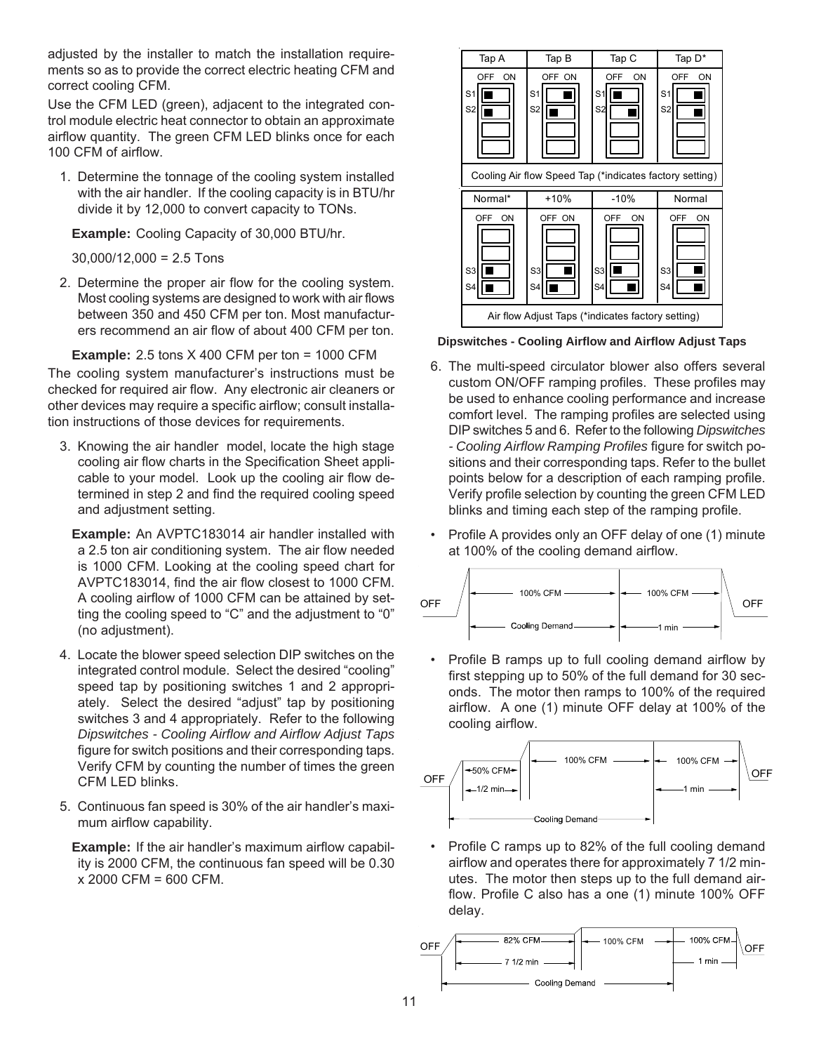adjusted by the installer to match the installation requirements so as to provide the correct electric heating CFM and correct cooling CFM.

Use the CFM LED (green), adjacent to the integrated control module electric heat connector to obtain an approximate airflow quantity. The green CFM LED blinks once for each 100 CFM of airflow.

1. Determine the tonnage of the cooling system installed with the air handler. If the cooling capacity is in BTU/hr divide it by 12,000 to convert capacity to TONs.

**Example:** Cooling Capacity of 30,000 BTU/hr.

 $30,000/12,000 = 2.5$  Tons

2. Determine the proper air flow for the cooling system. Most cooling systems are designed to work with air flows between 350 and 450 CFM per ton. Most manufacturers recommend an air flow of about 400 CFM per ton.

**Example:** 2.5 tons X 400 CFM per ton = 1000 CFM

The cooling system manufacturer's instructions must be checked for required air flow. Any electronic air cleaners or other devices may require a specific airflow; consult installation instructions of those devices for requirements.

3. Knowing the air handler model, locate the high stage cooling air flow charts in the Specification Sheet applicable to your model. Look up the cooling air flow determined in step 2 and find the required cooling speed and adjustment setting.

**Example:** An AVPTC183014 air handler installed with a 2.5 ton air conditioning system. The air flow needed is 1000 CFM. Looking at the cooling speed chart for AVPTC183014, find the air flow closest to 1000 CFM. A cooling airflow of 1000 CFM can be attained by setting the cooling speed to "C" and the adjustment to "0" (no adjustment).

- 4. Locate the blower speed selection DIP switches on the integrated control module. Select the desired "cooling" speed tap by positioning switches 1 and 2 appropriately. Select the desired "adjust" tap by positioning switches 3 and 4 appropriately. Refer to the following *Dipswitches - Cooling Airflow and Airflow Adjust Taps* figure for switch positions and their corresponding taps. Verify CFM by counting the number of times the green CFM LED blinks.
- 5. Continuous fan speed is 30% of the air handler's maximum airflow capability.

**Example:** If the air handler's maximum airflow capability is 2000 CFM, the continuous fan speed will be 0.30 x 2000 CFM = 600 CFM.



**Dipswitches - Cooling Airflow and Airflow Adjust Taps**

- 6. The multi-speed circulator blower also offers several custom ON/OFF ramping profiles. These profiles may be used to enhance cooling performance and increase comfort level. The ramping profiles are selected using DIP switches 5 and 6. Refer to the following *Dipswitches - Cooling Airflow Ramping Profiles* figure for switch positions and their corresponding taps. Refer to the bullet points below for a description of each ramping profile. Verify profile selection by counting the green CFM LED blinks and timing each step of the ramping profile.
- Profile A provides only an OFF delay of one (1) minute at 100% of the cooling demand airflow.



• Profile B ramps up to full cooling demand airflow by first stepping up to 50% of the full demand for 30 seconds. The motor then ramps to 100% of the required airflow. A one (1) minute OFF delay at 100% of the cooling airflow.



• Profile C ramps up to 82% of the full cooling demand airflow and operates there for approximately 7 1/2 minutes. The motor then steps up to the full demand airflow. Profile C also has a one (1) minute 100% OFF delay.

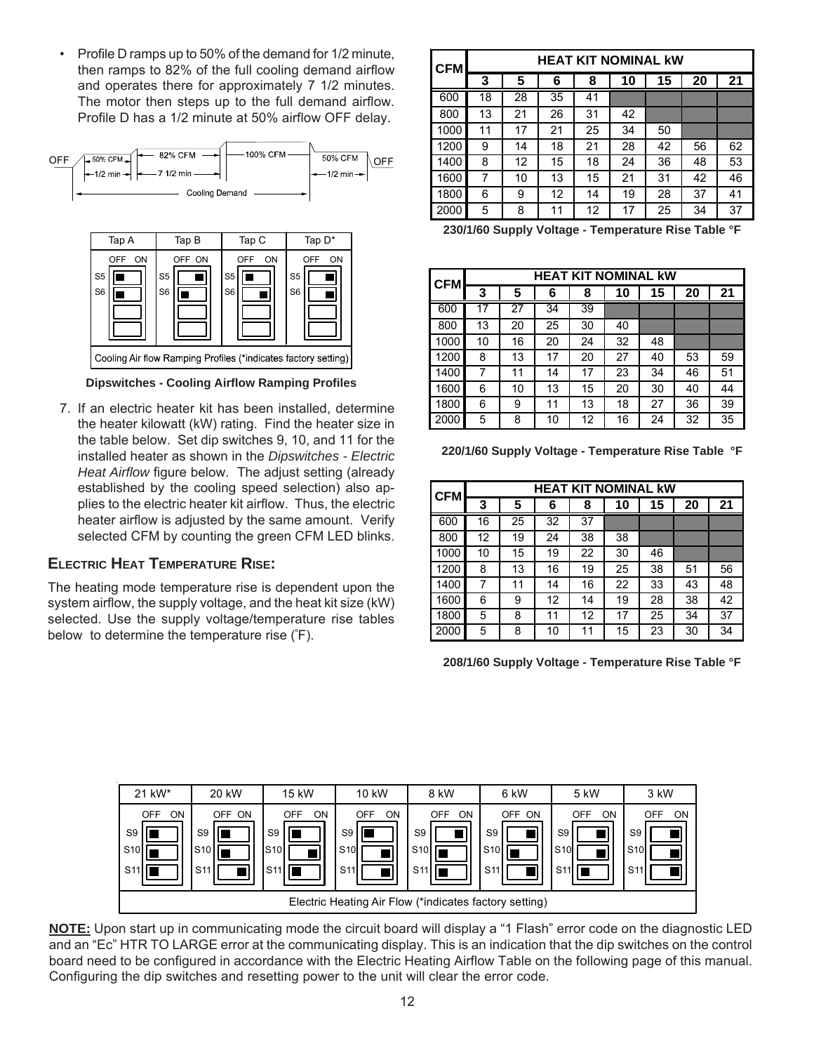• Profile D ramps up to 50% of the demand for 1/2 minute, then ramps to 82% of the full cooling demand airflow and operates there for approximately 7 1/2 minutes. The motor then steps up to the full demand airflow. Profile D has a 1/2 minute at 50% airflow OFF delay.



**Dipswitches - Cooling Airflow Ramping Profiles**

7. If an electric heater kit has been installed, determine the heater kilowatt (kW) rating. Find the heater size in the table below. Set dip switches 9, 10, and 11 for the installed heater as shown in the *Dipswitches - Electric Heat Airflow* figure below. The adjust setting (already established by the cooling speed selection) also applies to the electric heater kit airflow. Thus, the electric heater airflow is adjusted by the same amount. Verify selected CFM by counting the green CFM LED blinks.

## **ELECTRIC HEAT TEMPERATURE RISE:**

The heating mode temperature rise is dependent upon the system airflow, the supply voltage, and the heat kit size (kW) selected. Use the supply voltage/temperature rise tables below to determine the temperature rise (º F).

| <b>CFM</b> |    | <b>HEAT KIT NOMINAL kW</b> |    |    |    |    |    |    |  |  |  |  |  |
|------------|----|----------------------------|----|----|----|----|----|----|--|--|--|--|--|
|            | 3  | 5                          | 6  | 8  | 10 | 15 | 20 | 21 |  |  |  |  |  |
| 600        | 18 | 28                         | 35 | 41 |    |    |    |    |  |  |  |  |  |
| 800        | 13 | 21                         | 26 | 31 | 42 |    |    |    |  |  |  |  |  |
| 1000       | 11 | 17                         | 21 | 25 | 34 | 50 |    |    |  |  |  |  |  |
| 1200       | 9  | 14                         | 18 | 21 | 28 | 42 | 56 | 62 |  |  |  |  |  |
| 1400       | 8  | 12                         | 15 | 18 | 24 | 36 | 48 | 53 |  |  |  |  |  |
| 1600       | 7  | 10                         | 13 | 15 | 21 | 31 | 42 | 46 |  |  |  |  |  |
| 1800       | 6  | 9                          | 12 | 14 | 19 | 28 | 37 | 41 |  |  |  |  |  |
| 2000       | 5  | 8                          | 11 | 12 | 17 | 25 | 34 | 37 |  |  |  |  |  |

**230/1/60 Supply Voltage - Temperature Rise Table °F**

| <b>CFM</b> |    | <b>HEAT KIT NOMINAL KW</b> |    |    |    |    |    |    |  |  |  |  |  |
|------------|----|----------------------------|----|----|----|----|----|----|--|--|--|--|--|
|            | 3  | 5                          | 6  | 8  | 10 | 15 | 20 | 21 |  |  |  |  |  |
| 600        | 17 | 27                         | 34 | 39 |    |    |    |    |  |  |  |  |  |
| 800        | 13 | 20                         | 25 | 30 | 40 |    |    |    |  |  |  |  |  |
| 1000       | 10 | 16                         | 20 | 24 | 32 | 48 |    |    |  |  |  |  |  |
| 1200       | 8  | 13                         | 17 | 20 | 27 | 40 | 53 | 59 |  |  |  |  |  |
| 1400       | 7  | 11                         | 14 | 17 | 23 | 34 | 46 | 51 |  |  |  |  |  |
| 1600       | 6  | 10                         | 13 | 15 | 20 | 30 | 40 | 44 |  |  |  |  |  |
| 1800       | 6  | 9                          | 11 | 13 | 18 | 27 | 36 | 39 |  |  |  |  |  |
| 2000       | 5  | 8                          | 10 | 12 | 16 | 24 | 32 | 35 |  |  |  |  |  |

**220/1/60 Supply Voltage - Temperature Rise Table °F**

| <b>CFM</b> |    | <b>HEAT KIT NOMINAL KW</b> |                 |    |    |    |    |    |  |  |  |  |  |
|------------|----|----------------------------|-----------------|----|----|----|----|----|--|--|--|--|--|
|            | 3  | 5                          | 6               | 8  | 10 | 15 | 20 | 21 |  |  |  |  |  |
| 600        | 16 | 25                         | $\overline{32}$ | 37 |    |    |    |    |  |  |  |  |  |
| 800        | 12 | 19                         | 24              | 38 | 38 |    |    |    |  |  |  |  |  |
| 1000       | 10 | 15                         | 19              | 22 | 30 | 46 |    |    |  |  |  |  |  |
| 1200       | 8  | 13                         | 16              | 19 | 25 | 38 | 51 | 56 |  |  |  |  |  |
| 1400       | 7  | 11                         | 14              | 16 | 22 | 33 | 43 | 48 |  |  |  |  |  |
| 1600       | 6  | 9                          | 12              | 14 | 19 | 28 | 38 | 42 |  |  |  |  |  |
| 1800       | 5  | 8                          | 11              | 12 | 17 | 25 | 34 | 37 |  |  |  |  |  |
| 2000       | 5  | 8                          | 10              | 11 | 15 | 23 | 30 | 34 |  |  |  |  |  |

**208/1/60 Supply Voltage - Temperature Rise Table °F**



**NOTE:** Upon start up in communicating mode the circuit board will display a "1 Flash" error code on the diagnostic LED and an "Ec" HTR TO LARGE error at the communicating display. This is an indication that the dip switches on the control board need to be configured in accordance with the Electric Heating Airflow Table on the following page of this manual. Configuring the dip switches and resetting power to the unit will clear the error code.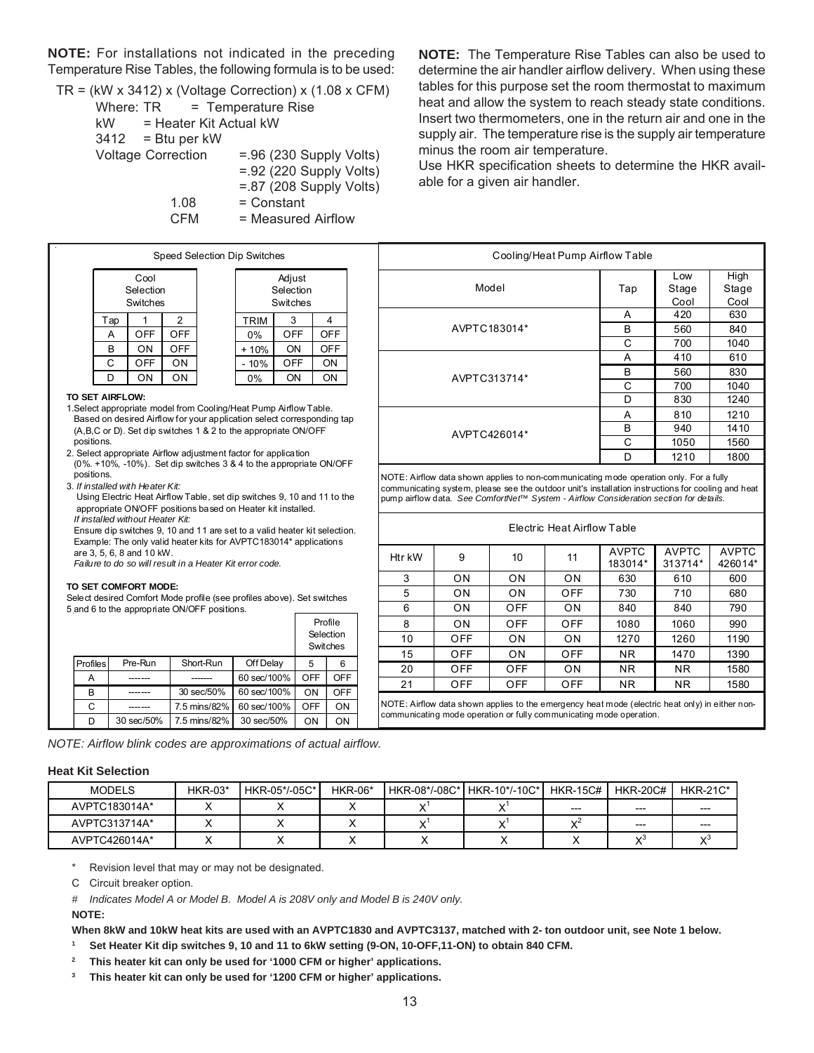**NOTE:** For installations not indicated in the preceding Temperature Rise Tables, the following formula is to be used:

$$
TR = (kW \times 3412) \times (Voltage Correction) \times (1.08 \times CFM)
$$
\n
$$
Where: TR = Temperature Rise
$$
\n
$$
kW = Heater Kit Actual KW
$$
\n
$$
3412 = Btu per kW
$$
\n
$$
Voltage Correction = .96 (230 Supply Volts)
$$
\n
$$
= .92 (220 Supply Volts)
$$
\n
$$
= .87 (208 Supply Volts)
$$
\n
$$
1.08 = Constant CFM = Measured Airflow
$$

**NOTE:** The Temperature Rise Tables can also be used to determine the air handler airflow delivery. When using these tables for this purpose set the room thermostat to maximum heat and allow the system to reach steady state conditions. Insert two thermometers, one in the return air and one in the supply air. The temperature rise is the supply air temperature minus the room air temperature.

Use HKR specification sheets to determine the HKR available for a given air handler.

Cooling/Heat Pump Airflow Table

Htr kW | 9 | 10 | 11 | AVPTC

Model

AVPTC183014\*

AVPTC313714\*

AVPTC426014\*

communicating mode operation or fully communicating mode operation.

Tap

183014\*

3 | ON | ON | ON | 630 | 610 | 600 5 ON ON OFF 730 710 680 6 | ON | OFF | ON | 840 | 840 | 790 8 | ON | OFF | OFF | 1080 | 1060 | 990 10 | OFF | ON | ON | 1270 | 1260 | 1190 15 | OFF | ON | OFF | NR | 1470 | 1390 20 | OFF | OFF | ON | NR | NR | 1580 21 | OFF | OFF | OFF | NR | NR | 1580 NOTE: Airflow data shown applies to the emergency heat mode (electric heat only) in either non-

Electric Heat Airflow Table

NOTE: Airflow data shown applies to non-communicating mode operation only. For a fully communicating system, please see the outdoor unit's installation instructions for cooling and heat pump airflow data. *See ComfortNet™ System - Airflow Consideration section for details.*

Low **Stage** Cool

A 420 630 B | 560 | 840 C | 700 | 1040 A | 410 | 610 B | 560 | 830 C | 700 | 1040 D | 830 | 1240 A | 810 | 1210 B | 940 | 1410 C | 1050 | 1560 D | 1210 | 1800

> AVPTC 313714\*

AVPTC 426014\*

High **Stage** Cool

| Speed Selection Dip Switches |                               |            |  |             |                                 |            |  |  |  |  |  |  |  |
|------------------------------|-------------------------------|------------|--|-------------|---------------------------------|------------|--|--|--|--|--|--|--|
|                              | Cool<br>Selection<br>Switches |            |  |             | Adjust<br>Selection<br>Switches |            |  |  |  |  |  |  |  |
| Tap                          |                               | 2          |  | <b>TRIM</b> | 3                               |            |  |  |  |  |  |  |  |
| A                            | <b>OFF</b>                    | <b>OFF</b> |  | 0%          | OFF                             | <b>OFF</b> |  |  |  |  |  |  |  |
| B                            | ON                            | <b>OFF</b> |  | $+10%$      | ON                              | <b>OFF</b> |  |  |  |  |  |  |  |
| C                            | <b>OFF</b>                    | ON         |  | - 10%       | <b>OFF</b>                      | ON         |  |  |  |  |  |  |  |
| D                            | ΟN                            | ON         |  | 0%          | ON                              | ON         |  |  |  |  |  |  |  |
|                              |                               |            |  |             |                                 |            |  |  |  |  |  |  |  |

#### **TO SET AIRFLOW:**

- 1.Select appropriate model from Cooling/Heat Pump Airflow Table. Based on desired Airflow for your application select corresponding tap (A,B,C or D). Set dip switches 1 & 2 to the appropriate ON/OFF positions.
- 2. Select appropriate Airflow adjustment factor for application (0%. +10%, -10%). Set dip switches 3 & 4 to the appropriate ON/OFF positions.
- 3. *If installed with Heater Kit:*

 Using Electric Heat Airflow Table, set dip switches 9, 10 and 11 to the appropriate ON/OFF positions based on Heater kit installed. *If installed without Heater Kit:*

 Ensure dip switches 9, 10 and 11 are set to a valid heater kit selection. Example: The only valid heater kits for AVPTC183014\* applications are 3, 5, 6, 8 and 10 kW.

*Failure to do so will result in a Heater Kit error code.*

#### **TO SET COMFORT MODE:**

Select desired Comfort Mode profile (see profiles above). Set switches 5 and 6 to the appropriate ON/OFF positions.

|          |            |              | Profile<br>Selection<br>Switches |     |            |
|----------|------------|--------------|----------------------------------|-----|------------|
| Profiles | Pre-Run    | Short-Run    | Off Delay                        | 5   | 6          |
| А        |            |              | 60 sec/100%                      | OFF | <b>OFF</b> |
| в        |            | 30 sec/50%   | 60 sec/100%                      | ON  | <b>OFF</b> |
| С        |            | 7.5 mins/82% | 60 sec/100%                      | OFF | ON         |
| D        | 30 sec/50% | 7.5 mins/82% | 30 sec/50%                       | ΟN  | ΟN         |

*NOTE: Airflow blink codes are approximations of actual airflow.*

#### **Heat Kit Selection**

| <b>MODELS</b> | $HKR-03*$ | HKR-05*/-05C* | <b>HKR-06*</b> |         | HKR-08*/-08C* HKR-10*/-10C* | HKR-15C# | <b>HKR-20C#</b> | $HKR-21C*$ |
|---------------|-----------|---------------|----------------|---------|-----------------------------|----------|-----------------|------------|
| AVPTC183014A* |           |               |                | $\cdot$ |                             | $- - -$  | $---$           | $- - -$    |
| AVPTC313714A* |           |               |                | $\cdot$ |                             | 1Z       | $---$           | $---$      |
| AVPTC426014A* |           |               |                |         |                             |          | v               |            |

Revision level that may or may not be designated.

C Circuit breaker option.

*# Indicates Model A or Model B. Model A is 208V only and Model B is 240V only.*

Г

#### **NOTE:**

**When 8kW and 10kW heat kits are used with an AVPTC1830 and AVPTC3137, matched with 2- ton outdoor unit, see Note 1 below.**

**<sup>1</sup> Set Heater Kit dip switches 9, 10 and 11 to 6kW setting (9-ON, 10-OFF,11-ON) to obtain 840 CFM.**

**<sup>2</sup> This heater kit can only be used for '1000 CFM or higher' applications.**

**<sup>3</sup> This heater kit can only be used for '1200 CFM or higher' applications.**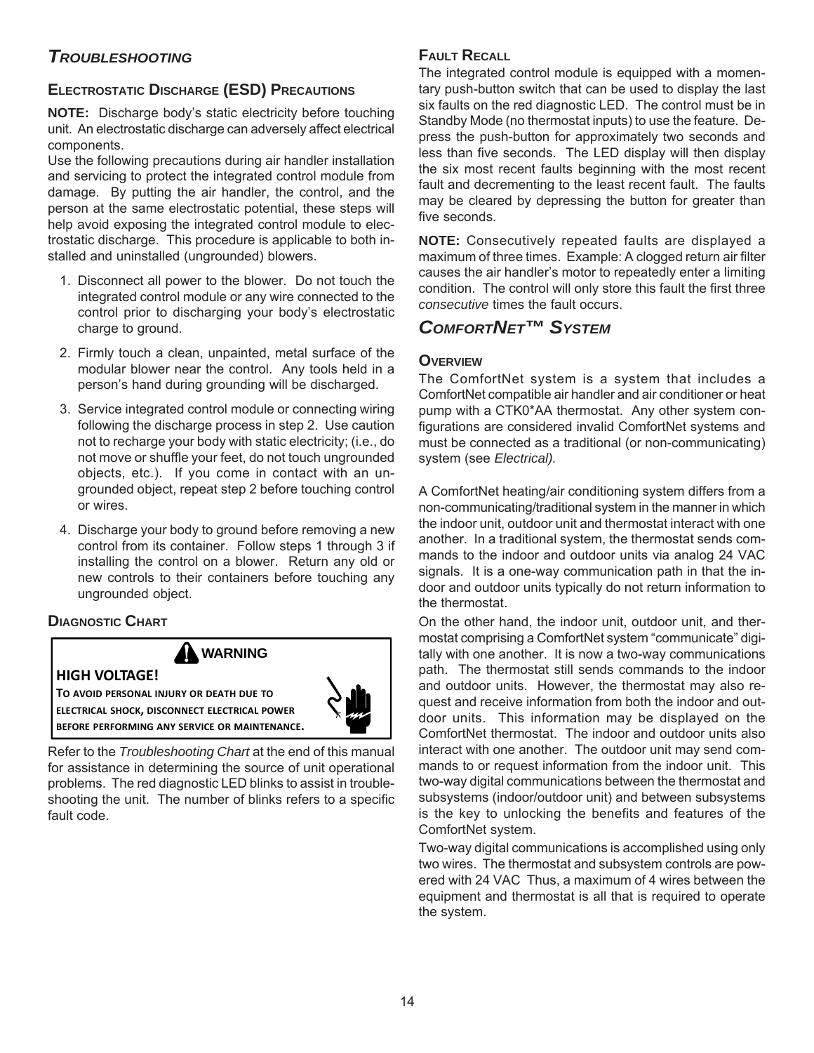# *TROUBLESHOOTING*

# **ELECTROSTATIC DISCHARGE (ESD) PRECAUTIONS**

**NOTE:** Discharge body's static electricity before touching unit. An electrostatic discharge can adversely affect electrical components.

Use the following precautions during air handler installation and servicing to protect the integrated control module from damage. By putting the air handler, the control, and the person at the same electrostatic potential, these steps will help avoid exposing the integrated control module to electrostatic discharge. This procedure is applicable to both installed and uninstalled (ungrounded) blowers.

- 1. Disconnect all power to the blower. Do not touch the integrated control module or any wire connected to the control prior to discharging your body's electrostatic charge to ground.
- 2. Firmly touch a clean, unpainted, metal surface of the modular blower near the control. Any tools held in a person's hand during grounding will be discharged.
- 3. Service integrated control module or connecting wiring following the discharge process in step 2. Use caution not to recharge your body with static electricity; (i.e., do not move or shuffle your feet, do not touch ungrounded objects, etc.). If you come in contact with an ungrounded object, repeat step 2 before touching control or wires.
- 4. Discharge your body to ground before removing a new control from its container. Follow steps 1 through 3 if installing the control on a blower. Return any old or new controls to their containers before touching any ungrounded object.

# **DIAGNOSTIC CHART**



Refer to the *Troubleshooting Chart* at the end of this manual for assistance in determining the source of unit operational problems. The red diagnostic LED blinks to assist in troubleshooting the unit. The number of blinks refers to a specific fault code.

## **FAULT RECALL**

The integrated control module is equipped with a momentary push-button switch that can be used to display the last six faults on the red diagnostic LED. The control must be in Standby Mode (no thermostat inputs) to use the feature. Depress the push-button for approximately two seconds and less than five seconds. The LED display will then display the six most recent faults beginning with the most recent fault and decrementing to the least recent fault. The faults may be cleared by depressing the button for greater than five seconds.

**NOTE:** Consecutively repeated faults are displayed a maximum of three times. Example: A clogged return air filter causes the air handler's motor to repeatedly enter a limiting condition. The control will only store this fault the first three *consecutive* times the fault occurs.

# *COMFORTNET™ SYSTEM*

## **OVERVIEW**

The ComfortNet system is a system that includes a ComfortNet compatible air handler and air conditioner or heat pump with a CTK0\*AA thermostat. Any other system configurations are considered invalid ComfortNet systems and must be connected as a traditional (or non-communicating) system (see *Electrical).*

A ComfortNet heating/air conditioning system differs from a non-communicating/traditional system in the manner in which the indoor unit, outdoor unit and thermostat interact with one another. In a traditional system, the thermostat sends commands to the indoor and outdoor units via analog 24 VAC signals. It is a one-way communication path in that the indoor and outdoor units typically do not return information to the thermostat.

On the other hand, the indoor unit, outdoor unit, and thermostat comprising a ComfortNet system "communicate" digitally with one another. It is now a two-way communications path. The thermostat still sends commands to the indoor and outdoor units. However, the thermostat may also request and receive information from both the indoor and outdoor units. This information may be displayed on the ComfortNet thermostat. The indoor and outdoor units also interact with one another. The outdoor unit may send commands to or request information from the indoor unit. This two-way digital communications between the thermostat and subsystems (indoor/outdoor unit) and between subsystems is the key to unlocking the benefits and features of the ComfortNet system.

Two-way digital communications is accomplished using only two wires. The thermostat and subsystem controls are powered with 24 VAC Thus, a maximum of 4 wires between the equipment and thermostat is all that is required to operate the system.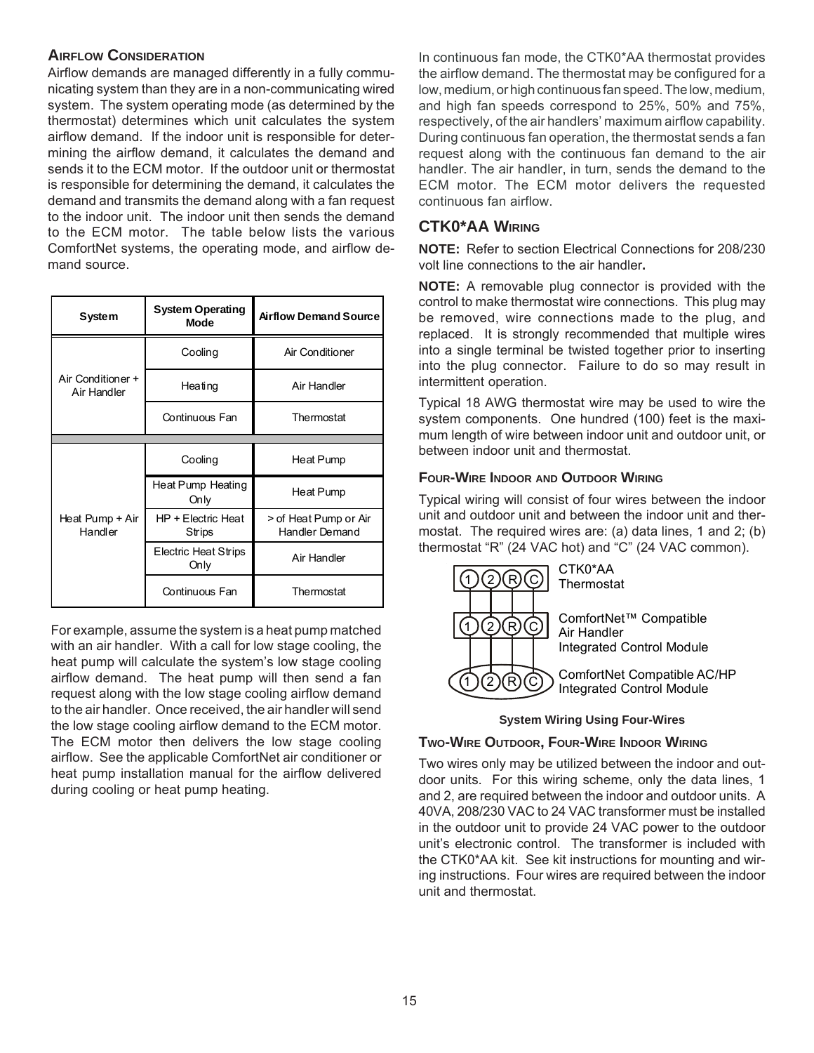## **AIRFLOW CONSIDERATION**

Airflow demands are managed differently in a fully communicating system than they are in a non-communicating wired system. The system operating mode (as determined by the thermostat) determines which unit calculates the system airflow demand. If the indoor unit is responsible for determining the airflow demand, it calculates the demand and sends it to the ECM motor. If the outdoor unit or thermostat is responsible for determining the demand, it calculates the demand and transmits the demand along with a fan request to the indoor unit. The indoor unit then sends the demand to the ECM motor. The table below lists the various ComfortNet systems, the operating mode, and airflow demand source.

| System                           | <b>System Operating</b><br><b>Mode</b> | <b>Airflow Demand Source</b>            |
|----------------------------------|----------------------------------------|-----------------------------------------|
|                                  | Cooling                                | Air Conditioner                         |
| Air Conditioner +<br>Air Handler | Heating                                | Air Handler                             |
|                                  | Continuous Fan                         | Thermostat                              |
|                                  |                                        |                                         |
|                                  | Cooling                                | Heat Pump                               |
|                                  | Heat Pump Heating<br>Only              | Heat Pump                               |
| Heat Pump + Air<br>Handler       | HP + Electric Heat<br>Strips           | > of Heat Pump or Air<br>Handler Demand |
|                                  | Electric Heat Strips<br>Only           | Air Handler                             |
|                                  | Continuous Fan                         | Thermostat                              |

For example, assume the system is a heat pump matched with an air handler. With a call for low stage cooling, the heat pump will calculate the system's low stage cooling airflow demand. The heat pump will then send a fan request along with the low stage cooling airflow demand to the air handler. Once received, the air handler will send the low stage cooling airflow demand to the ECM motor. The ECM motor then delivers the low stage cooling airflow. See the applicable ComfortNet air conditioner or heat pump installation manual for the airflow delivered during cooling or heat pump heating.

In continuous fan mode, the CTK0\*AA thermostat provides the airflow demand. The thermostat may be configured for a low, medium, or high continuous fan speed. The low, medium, and high fan speeds correspond to 25%, 50% and 75%, respectively, of the air handlers' maximum airflow capability. During continuous fan operation, the thermostat sends a fan request along with the continuous fan demand to the air handler. The air handler, in turn, sends the demand to the ECM motor. The ECM motor delivers the requested continuous fan airflow.

## **CTK0\*AA WIRING**

**NOTE:** Refer to section Electrical Connections for 208/230 volt line connections to the air handler**.**

**NOTE:** A removable plug connector is provided with the control to make thermostat wire connections. This plug may be removed, wire connections made to the plug, and replaced. It is strongly recommended that multiple wires into a single terminal be twisted together prior to inserting into the plug connector. Failure to do so may result in intermittent operation.

Typical 18 AWG thermostat wire may be used to wire the system components. One hundred (100) feet is the maximum length of wire between indoor unit and outdoor unit, or between indoor unit and thermostat.

### **FOUR-WIRE INDOOR AND OUTDOOR WIRING**

Typical wiring will consist of four wires between the indoor unit and outdoor unit and between the indoor unit and thermostat. The required wires are: (a) data lines, 1 and 2; (b) thermostat "R" (24 VAC hot) and "C" (24 VAC common).



#### **System Wiring Using Four-Wires**

#### **TWO-WIRE OUTDOOR, FOUR-WIRE INDOOR WIRING**

Two wires only may be utilized between the indoor and outdoor units. For this wiring scheme, only the data lines, 1 and 2, are required between the indoor and outdoor units. A 40VA, 208/230 VAC to 24 VAC transformer must be installed in the outdoor unit to provide 24 VAC power to the outdoor unit's electronic control. The transformer is included with the CTK0\*AA kit. See kit instructions for mounting and wiring instructions. Four wires are required between the indoor unit and thermostat.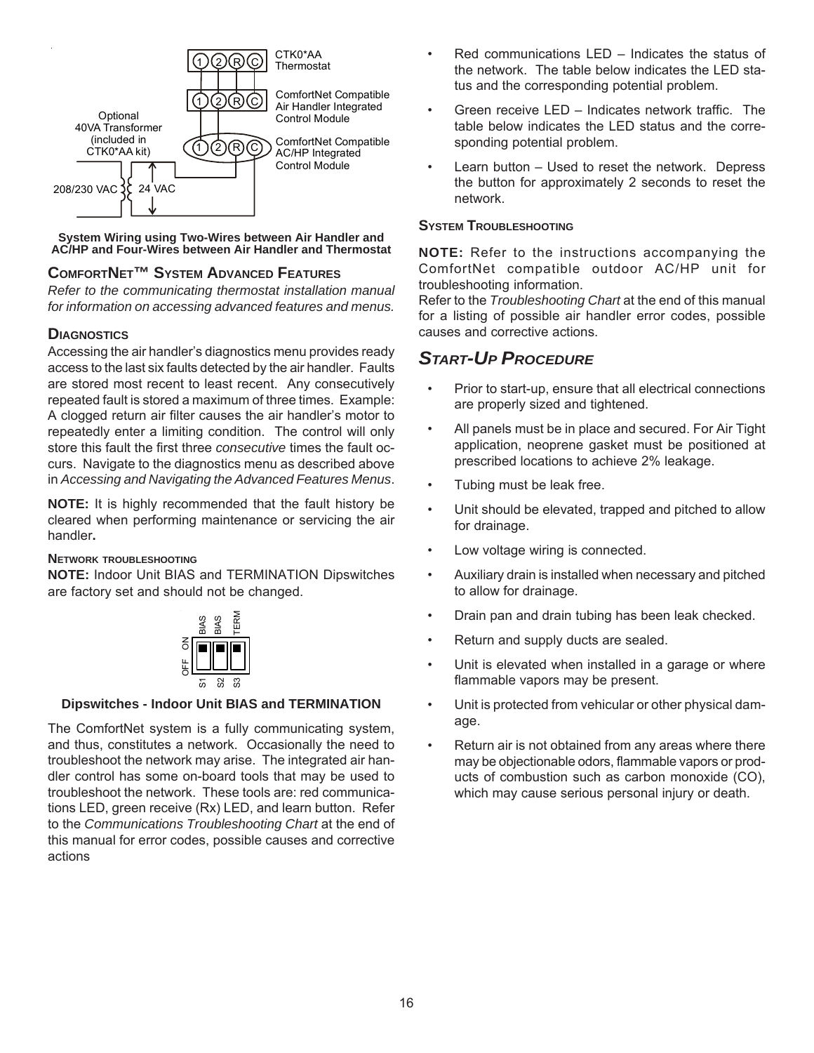

#### **System Wiring using Two-Wires between Air Handler and AC/HP and Four-Wires between Air Handler and Thermostat**

## **COMFORTNET™ SYSTEM ADVANCED FEATURES**

*Refer to the communicating thermostat installation manual for information on accessing advanced features and menus.*

### **DIAGNOSTICS**

Accessing the air handler's diagnostics menu provides ready access to the last six faults detected by the air handler. Faults are stored most recent to least recent. Any consecutively repeated fault is stored a maximum of three times. Example: A clogged return air filter causes the air handler's motor to repeatedly enter a limiting condition. The control will only store this fault the first three *consecutive* times the fault occurs. Navigate to the diagnostics menu as described above in *Accessing and Navigating the Advanced Features Menus*.

**NOTE:** It is highly recommended that the fault history be cleared when performing maintenance or servicing the air handler**.**

#### **NETWORK TROUBLESHOOTING**

**NOTE:** Indoor Unit BIAS and TERMINATION Dipswitches are factory set and should not be changed.



#### **Dipswitches - Indoor Unit BIAS and TERMINATION**

The ComfortNet system is a fully communicating system, and thus, constitutes a network. Occasionally the need to troubleshoot the network may arise. The integrated air handler control has some on-board tools that may be used to troubleshoot the network. These tools are: red communications LED, green receive (Rx) LED, and learn button. Refer to the *Communications Troubleshooting Chart* at the end of this manual for error codes, possible causes and corrective actions

- Red communications LED Indicates the status of the network. The table below indicates the LED status and the corresponding potential problem.
- Green receive LED Indicates network traffic. The table below indicates the LED status and the corresponding potential problem.
- Learn button Used to reset the network. Depress the button for approximately 2 seconds to reset the network.

## **SYSTEM TROUBLESHOOTING**

**NOTE:** Refer to the instructions accompanying the ComfortNet compatible outdoor AC/HP unit for troubleshooting information.

Refer to the *Troubleshooting Chart* at the end of this manual for a listing of possible air handler error codes, possible causes and corrective actions.

# *START-UP PROCEDURE*

- Prior to start-up, ensure that all electrical connections are properly sized and tightened.
- All panels must be in place and secured. For Air Tight application, neoprene gasket must be positioned at prescribed locations to achieve 2% leakage.
- Tubing must be leak free.
- Unit should be elevated, trapped and pitched to allow for drainage.
- Low voltage wiring is connected.
- Auxiliary drain is installed when necessary and pitched to allow for drainage.
- Drain pan and drain tubing has been leak checked.
- Return and supply ducts are sealed.
- Unit is elevated when installed in a garage or where flammable vapors may be present.
- Unit is protected from vehicular or other physical damage.
- Return air is not obtained from any areas where there may be objectionable odors, flammable vapors or products of combustion such as carbon monoxide (CO), which may cause serious personal injury or death.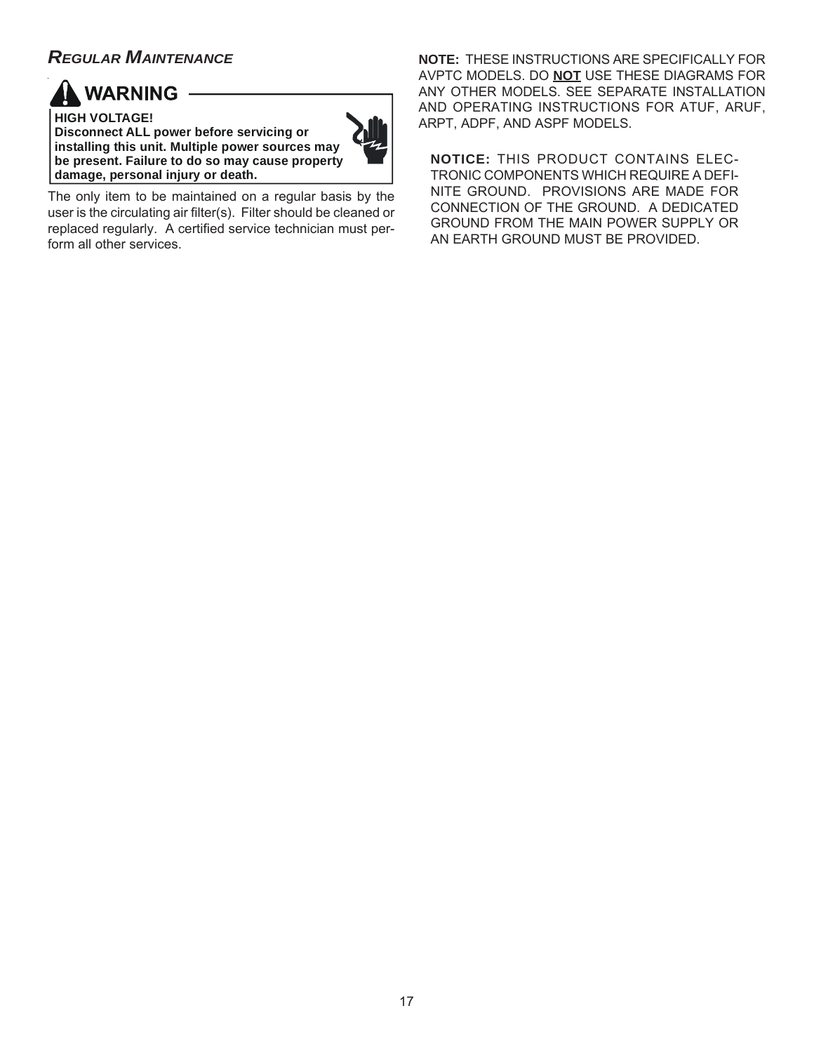# *REGULAR MAINTENANCE*



**HIGH VOLTAGE! Disconnect ALL power before servicing or installing this unit. Multiple power sources may be present. Failure to do so may cause property damage, personal injury or death.**



The only item to be maintained on a regular basis by the user is the circulating air filter(s). Filter should be cleaned or replaced regularly. A certified service technician must perform all other services.

**NOTE:** THESE INSTRUCTIONS ARE SPECIFICALLY FOR AVPTC MODELS. DO **NOT** USE THESE DIAGRAMS FOR ANY OTHER MODELS. SEE SEPARATE INSTALLATION AND OPERATING INSTRUCTIONS FOR ATUF, ARUF, ARPT, ADPF, AND ASPF MODELS.

**NOTICE:** THIS PRODUCT CONTAINS ELEC-TRONIC COMPONENTS WHICH REQUIRE A DEFI-NITE GROUND. PROVISIONS ARE MADE FOR CONNECTION OF THE GROUND. A DEDICATED GROUND FROM THE MAIN POWER SUPPLY OR AN EARTH GROUND MUST BE PROVIDED.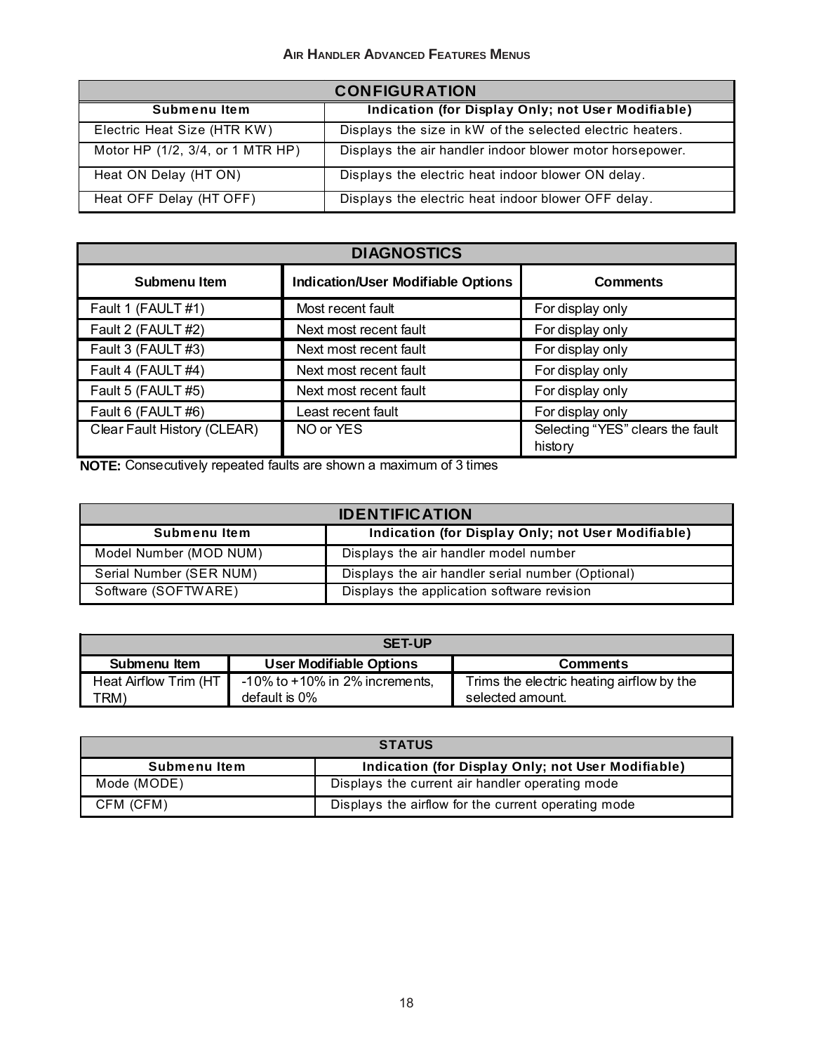## **AIR HANDLER ADVANCED FEATURES MENUS**

|                                  | <b>CONFIGURATION</b>                                      |
|----------------------------------|-----------------------------------------------------------|
| Submenu Item                     | Indication (for Display Only; not User Modifiable)        |
| Electric Heat Size (HTR KW)      | Displays the size in kW of the selected electric heaters. |
| Motor HP (1/2, 3/4, or 1 MTR HP) | Displays the air handler indoor blower motor horsepower.  |
| Heat ON Delay (HT ON)            | Displays the electric heat indoor blower ON delay.        |
| Heat OFF Delay (HT OFF)          | Displays the electric heat indoor blower OFF delay.       |

|                             | <b>DIAGNOSTICS</b>                        |                                             |
|-----------------------------|-------------------------------------------|---------------------------------------------|
| Submenu Item                | <b>Indication/User Modifiable Options</b> | <b>Comments</b>                             |
| Fault 1 (FAULT #1)          | Most recent fault                         | For display only                            |
| Fault 2 (FAULT #2)          | Next most recent fault                    | For display only                            |
| Fault 3 (FAULT #3)          | Next most recent fault                    | For display only                            |
| Fault 4 (FAULT #4)          | Next most recent fault                    | For display only                            |
| Fault 5 (FAULT #5)          | Next most recent fault                    | For display only                            |
| Fault 6 (FAULT #6)          | Least recent fault                        | For display only                            |
| Clear Fault History (CLEAR) | NO or YES                                 | Selecting "YES" clears the fault<br>history |

**NOTE:** Consecutively repeated faults are shown a maximum of 3 times

|                         | <b>IDENTIFICATION</b>                              |
|-------------------------|----------------------------------------------------|
| Submenu Item            | Indication (for Display Only; not User Modifiable) |
| Model Number (MOD NUM)  | Displays the air handler model number              |
| Serial Number (SER NUM) | Displays the air handler serial number (Optional)  |
| Software (SOFTWARE)     | Displays the application software revision         |

|                        | <b>SET-UP</b>                        |                                           |
|------------------------|--------------------------------------|-------------------------------------------|
| Submenu Item           | <b>User Modifiable Options</b>       | <b>Comments</b>                           |
| Heat Airflow Trim (HT) | $-10\%$ to $+10\%$ in 2% increments, | Trims the electric heating airflow by the |
| TRM).                  | default is 0%                        | selected amount.                          |

|              | <b>STATUS</b>                                       |
|--------------|-----------------------------------------------------|
| Submenu Item | Indication (for Display Only; not User Modifiable)  |
| Mode (MODE)  | Displays the current air handler operating mode     |
| CFM (CFM)    | Displays the airflow for the current operating mode |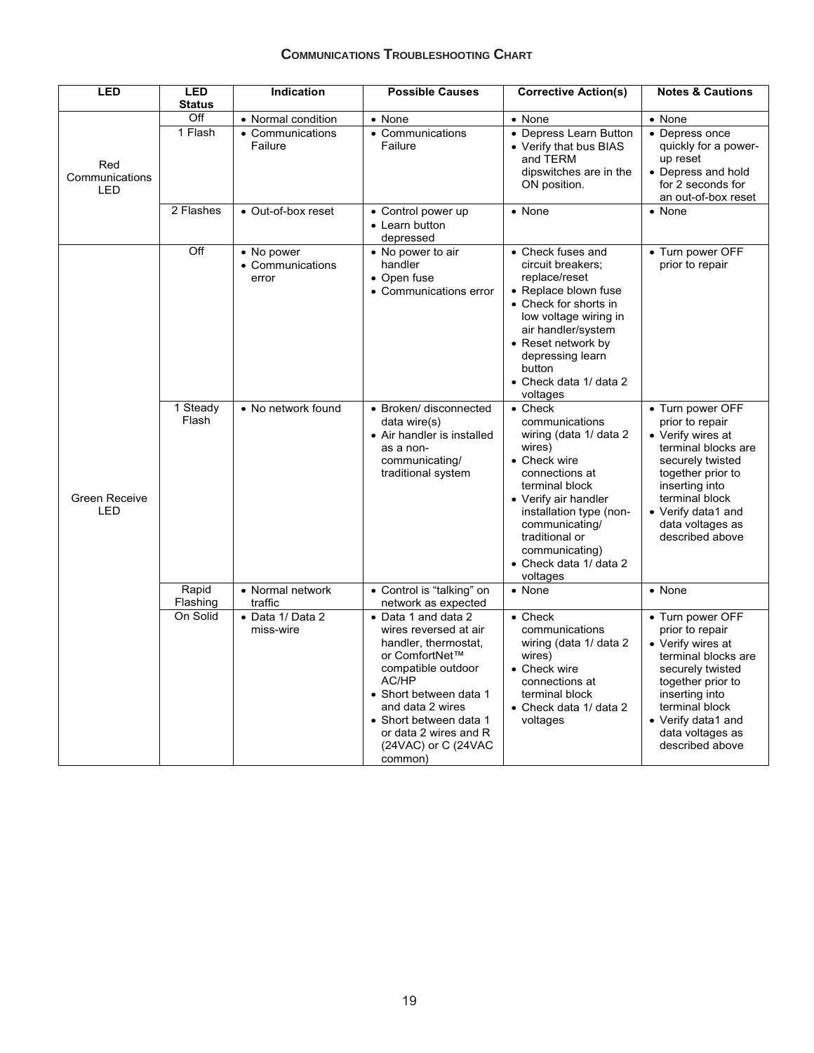# **COMMUNICATIONS TROUBLESHOOTING CHART**

| <b>LED</b>                          | <b>LED</b><br><b>Status</b> | Indication                               | <b>Possible Causes</b>                                                                                                                                                                                                                                                               | <b>Corrective Action(s)</b>                                                                                                                                                                                                                                              | <b>Notes &amp; Cautions</b>                                                                                                                                                                                               |
|-------------------------------------|-----------------------------|------------------------------------------|--------------------------------------------------------------------------------------------------------------------------------------------------------------------------------------------------------------------------------------------------------------------------------------|--------------------------------------------------------------------------------------------------------------------------------------------------------------------------------------------------------------------------------------------------------------------------|---------------------------------------------------------------------------------------------------------------------------------------------------------------------------------------------------------------------------|
|                                     | Off                         | • Normal condition                       | • None                                                                                                                                                                                                                                                                               | • None                                                                                                                                                                                                                                                                   | • None                                                                                                                                                                                                                    |
| Red<br>Communications<br><b>LED</b> | 1 Flash                     | • Communications<br>Failure              | • Communications<br>Failure                                                                                                                                                                                                                                                          | • Depress Learn Button<br>• Verify that bus BIAS<br>and TERM<br>dipswitches are in the<br>ON position.                                                                                                                                                                   | • Depress once<br>quickly for a power-<br>up reset<br>• Depress and hold<br>for 2 seconds for<br>an out-of-box reset                                                                                                      |
|                                     | 2 Flashes                   | • Out-of-box reset                       | • Control power up<br>• Learn button<br>depressed                                                                                                                                                                                                                                    | • None                                                                                                                                                                                                                                                                   | • None                                                                                                                                                                                                                    |
|                                     | Off                         | • No power<br>• Communications<br>error  | • No power to air<br>handler<br>• Open fuse<br>• Communications error                                                                                                                                                                                                                | • Check fuses and<br>circuit breakers;<br>replace/reset<br>• Replace blown fuse<br>• Check for shorts in<br>low voltage wiring in<br>air handler/system<br>• Reset network by<br>depressing learn<br>button<br>• Check data 1/ data 2<br>voltages                        | • Turn power OFF<br>prior to repair                                                                                                                                                                                       |
| Green Receive<br>LED                | 1 Steady<br>Flash           | • No network found                       | • Broken/ disconnected<br>data wire(s)<br>• Air handler is installed<br>as a non-<br>communicating/<br>traditional system                                                                                                                                                            | $\bullet$ Check<br>communications<br>wiring (data 1/ data 2<br>wires)<br>• Check wire<br>connections at<br>terminal block<br>• Verify air handler<br>installation type (non-<br>communicating/<br>traditional or<br>communicating)<br>• Check data 1/ data 2<br>voltages | • Turn power OFF<br>prior to repair<br>• Verify wires at<br>terminal blocks are<br>securely twisted<br>together prior to<br>inserting into<br>terminal block<br>• Verify data1 and<br>data voltages as<br>described above |
|                                     | Rapid                       | • Normal network                         | • Control is "talking" on                                                                                                                                                                                                                                                            | • None                                                                                                                                                                                                                                                                   | • None                                                                                                                                                                                                                    |
|                                     | Flashing<br>On Solid        | traffic<br>• Data 1/ Data 2<br>miss-wire | network as expected<br>• Data 1 and data 2<br>wires reversed at air<br>handler, thermostat,<br>or ComfortNet™<br>compatible outdoor<br>AC/HP<br>• Short between data 1<br>and data 2 wires<br>• Short between data 1<br>or data 2 wires and R<br>$(24VAC)$ or C $(24VAC)$<br>common) | $\bullet$ Check<br>communications<br>wiring (data 1/ data 2<br>wires)<br>• Check wire<br>connections at<br>terminal block<br>• Check data 1/ data 2<br>voltages                                                                                                          | • Turn power OFF<br>prior to repair<br>• Verify wires at<br>terminal blocks are<br>securely twisted<br>together prior to<br>inserting into<br>terminal block<br>• Verify data1 and<br>data voltages as<br>described above |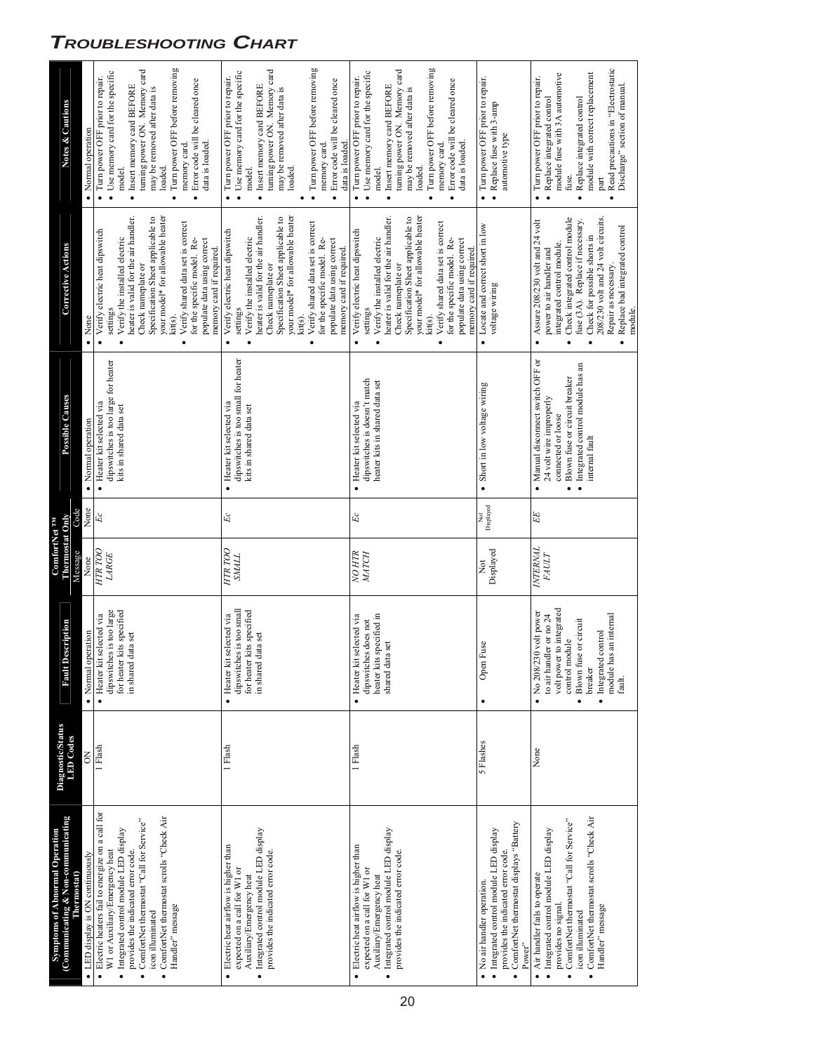| (Communicating & Non-communicating<br><b>Symptoms of Abnormal Operation</b><br>Thermostat)                                                                                                                                                                                                         | <b>Diagnostic/Status</b><br><b>LED</b> Codes | Description<br>Fault                                                                                                                                                                                          | Thermostat Only<br><b>ComfortNet TM</b><br>Message | Code                       | Possible Causes                                                                                                                                                                          | Corrective Actions                                                                                                                                                                                                                                                                                                                                                          | <b>Notes &amp; Cautions</b>                                                                                                                                                                                                                                                                                  |
|----------------------------------------------------------------------------------------------------------------------------------------------------------------------------------------------------------------------------------------------------------------------------------------------------|----------------------------------------------|---------------------------------------------------------------------------------------------------------------------------------------------------------------------------------------------------------------|----------------------------------------------------|----------------------------|------------------------------------------------------------------------------------------------------------------------------------------------------------------------------------------|-----------------------------------------------------------------------------------------------------------------------------------------------------------------------------------------------------------------------------------------------------------------------------------------------------------------------------------------------------------------------------|--------------------------------------------------------------------------------------------------------------------------------------------------------------------------------------------------------------------------------------------------------------------------------------------------------------|
| LED display is ON continuously                                                                                                                                                                                                                                                                     |                                              | operation<br>· Normal                                                                                                                                                                                         | None                                               | None                       | • Normal operation                                                                                                                                                                       | • None                                                                                                                                                                                                                                                                                                                                                                      | • Normal operation                                                                                                                                                                                                                                                                                           |
| Electric heaters fail to energize on a call for<br>ComfortNet thermostat scrolls "Check Air<br>ComfortNet thermostat "Call for Service"<br>· Integrated control module LED display<br>W1 or Auxiliary/Emergency heat<br>provides the indicated error code.<br>Handler" message<br>icon illuminated | 1 Flash                                      | for heater kits specified<br>dipswitches is too large<br>· Heater kit selected via<br>in shared data set                                                                                                      | HTR <sub>TOO</sub><br>LARGE                        | $\mathit{Ec}$              | dipswitches is too large for heater<br>· Heater kit selected via<br>kits in shared data set                                                                                              | your model* for allowable heater<br>heater is valid for the air handler.<br>Specification Sheet applicable to<br>Verify shared data set is correct<br>• Verify electric heat dipswitch<br>Verify the installed electric<br>populate data using correct<br>for the specific model. Re-<br>memory card if required.<br>Check nameplate or<br>settings<br>kit(s).              | Turn power OFF before removing<br>turning power ON. Memory card<br>• Use memory card for the specific<br>· Turn power OFF prior to repair.<br>Error code will be cleared once<br>• Insert memory card BEFORE<br>may be removed after data is<br>data is loaded.<br>memory card.<br>loaded.<br>model.         |
| · Integrated control module LED display<br>Electric heat airflow is higher than<br>provides the indicated error code.<br>expected on a call for W1 or<br>Auxiliary/Emergency heat                                                                                                                  | 1 Flash                                      | dipswitches is too small<br>for heater kits specified<br>· Heater kit selected via<br>in shared data set                                                                                                      | HTR <sub>TOO</sub><br><b>SMALL</b>                 | $\mathfrak{E}c$            | dipswitches is too small for heater<br>· Heater kit selected via<br>kits in shared data set                                                                                              | heater is valid for the air handler.<br>your model* for allowable heater<br>Specification Sheet applicable to<br>Verify shared data set is correct<br>$\bullet\,$ Verify electric heat dipswitch<br>Verify the installed electric<br>for the specific model. Re-<br>populate data using correct<br>memory card if required.<br>Check nameplate or<br>settings<br>kit(s).    | · Turn power OFF before removing<br>turning power ON. Memory card<br>• Use memory card for the specific<br>· Turn power OFF prior to repair.<br>Error code will be cleared once<br>$\bullet$ Insert memory card BEFORE<br>may be removed after data is<br>data is loaded<br>memory card<br>loaded.<br>model. |
| · Integrated control module LED display<br>Electric heat airflow is higher than<br>provides the indicated error code.<br>expected on a call for W1 or<br>Auxiliary/Emergency heat                                                                                                                  | 1 Flash                                      | heater kits specified in<br>shared data set<br>· Heater kit selected via<br>dipswitches does not                                                                                                              | NO HTR<br><b>MATCH</b>                             | $\mathit{Ec}$              | dipswitches is doesn't match<br>heater kits in shared data set<br>· Heater kit selected via                                                                                              | your model* for allowable heater<br>heater is valid for the air handler.<br>Specification Sheet applicable to<br>Verify shared data set is correct<br>· Verify electric heat dipswitch<br>Verify the installed electric<br>populate data using correct<br>for the specific model. Re-<br>memory card if required.<br>Check nameplate or<br>settings<br>kit(s).<br>$\bullet$ | Turn power OFF before removing<br>turning power ON. Memory card<br>• Use memory card for the specific<br>· Turn power OFF prior to repair.<br>Error code will be cleared once<br>· Insert memory card BEFORE<br>may be removed after data is<br>data is loaded.<br>memory card.<br>loaded.<br>model.         |
| ComfortNet thermostat displays "Battery<br>· Integrated control module LED display<br>provides the indicated error code<br>No air handler operation<br>Power"                                                                                                                                      | 5 Flashes                                    | Open Fuse<br>٠                                                                                                                                                                                                | Displayed<br>Χot                                   | Displayed<br>$\frac{5}{2}$ | • Short in low voltage wiring                                                                                                                                                            | • Locate and correct short in low<br>voltage wiring                                                                                                                                                                                                                                                                                                                         | $\bullet$ Turn power OFF prior to repair.<br>Replace fuse with 3-amp<br>automotive type                                                                                                                                                                                                                      |
| ComfortNet thermostat scrolls "Check Air<br>ComfortNet thermostat "Call for Service"<br>· Integrated control module LED display<br>• Air handler fails to operate<br>provides no signal.<br>Handler" message<br>icon illuminated                                                                   | None                                         | volt power to integrated<br>$\bullet$ No 208/230 volt power<br>$\quad$ module has an internal fault.<br>to air handler or no 24<br>Blown fuse or circuit<br>· Integrated control<br>control module<br>breaker | INTERNAL<br><i>FAULT</i>                           | $\cal{EE}$                 | Manual disconnect switch OFF or<br>· Integrated control module has an<br>· Blown fuse or circuit breaker<br>24 volt wire improperly<br>connected or loose<br>internal fault<br>$\bullet$ | Check integrated control module<br>208/230 volt and 24 volt circuits.<br>fuse (3A). Replace if necessary.<br>Assure 208/230 volt and 24 volt<br>• Replace bad integrated control<br>Check for possible shorts in<br>integrated control module.<br>power to air handler and<br>Repair as necessary.<br>$\bullet$                                                             | Read precautions in "Electrostatic<br>module fuse with 3A automotive<br>module with correct replacement<br>• Turn power OFF prior to repair.<br>Discharge" section of manual.<br>Replace integrated control<br>Replace integrated control<br>fuse.<br>part                                                   |

• Keplace<br>module.

# *TROUBLESHOOTING CHART*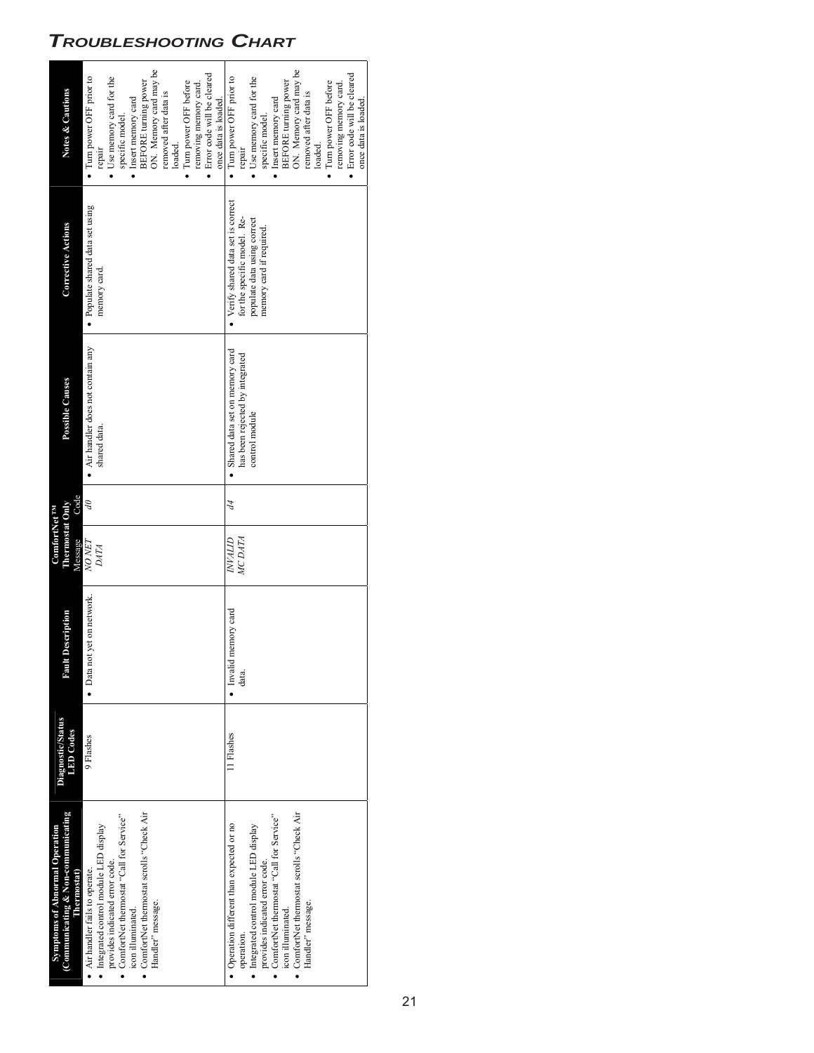# *TROUBLESHOOTING CHART*

| Symptoms of Abnormal Operation                    |                                              |                               | ComfortNet TM              |      |                                    |                                     |                              |
|---------------------------------------------------|----------------------------------------------|-------------------------------|----------------------------|------|------------------------------------|-------------------------------------|------------------------------|
| (Communicating & Non-communicating<br>Thermostat) | <b>Diagnostic/Status</b><br><b>LED</b> Codes | <b>ItDescription</b><br>Ins F | Thermostat Only<br>Message | Code | Possible Causes                    | <b>Corrective Actions</b>           | <b>Notes &amp; Cautions</b>  |
| Air handler fails to operate.                     | 9 Flashes                                    | • Data not yet on network.    | NO NET                     | S    | • Air handler does not contain any | · Populate shared data set using    | • Turn power OFF prior to    |
| Integrated control module LED display             |                                              |                               | <b>DATA</b>                |      | shared data.                       | memory card.                        | cpair                        |
| provides indicated error code.                    |                                              |                               |                            |      |                                    |                                     | • Use memory card for the    |
| ComfortNet thermostat "Call for Service"          |                                              |                               |                            |      |                                    |                                     | specific model.              |
| icon illuminated.                                 |                                              |                               |                            |      |                                    |                                     | • Insert memory card         |
| ComfortNet thermostat scrolls "Check Air          |                                              |                               |                            |      |                                    |                                     | <b>BEFORE</b> turning power  |
| Handler" message.                                 |                                              |                               |                            |      |                                    |                                     | ON. Memory card may be       |
|                                                   |                                              |                               |                            |      |                                    |                                     | removed after data is        |
|                                                   |                                              |                               |                            |      |                                    |                                     | loaded                       |
|                                                   |                                              |                               |                            |      |                                    |                                     | • Turn power OFF before      |
|                                                   |                                              |                               |                            |      |                                    |                                     | removing memory card.        |
|                                                   |                                              |                               |                            |      |                                    |                                     | · Error code will be cleared |
|                                                   |                                              |                               |                            |      |                                    |                                     | once data is loaded.         |
| Operation different than expected or no           | 11 Flashes                                   | • Invalid memory card         | <b>UTFAN</b>               | 44   | · Shared data set on memory card   | • Verify shared data set is correct | • Turn power OFF prior to    |
| operation.                                        |                                              | data.                         | MC DATA                    |      | has been rejected by integrated    | for the specific model. Re-         | repair                       |
| Integrated control module LED display             |                                              |                               |                            |      | control module                     | populate data using correct         | • Use memory card for the    |
| provides indicated error code.                    |                                              |                               |                            |      |                                    | memory card if required.            | specific model.              |
| ComfortNet thermostat "Call for Service"          |                                              |                               |                            |      |                                    |                                     | • Insert memory card         |
| icon illuminated.                                 |                                              |                               |                            |      |                                    |                                     | <b>BEFORE</b> turning power  |
| ComfortNet thermostat scrolls "Check Air          |                                              |                               |                            |      |                                    |                                     | ON. Memory card may be       |
| Handler" message.                                 |                                              |                               |                            |      |                                    |                                     | removed after data is        |
|                                                   |                                              |                               |                            |      |                                    |                                     | loaded.                      |
|                                                   |                                              |                               |                            |      |                                    |                                     | • Turn power OFF before      |
|                                                   |                                              |                               |                            |      |                                    |                                     | removing memory card.        |
|                                                   |                                              |                               |                            |      |                                    |                                     | · Error code will be cleared |
|                                                   |                                              |                               |                            |      |                                    |                                     | once data is loaded.         |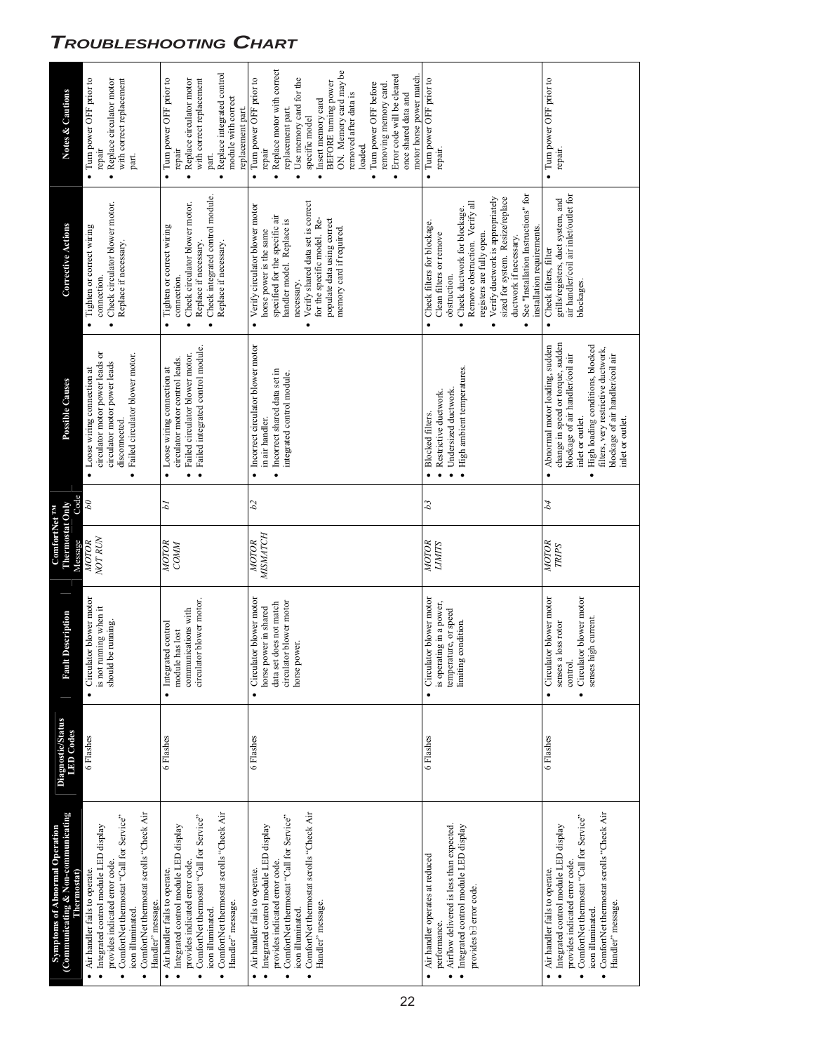# *TROUBLESHOOTING CHART*

| <b>Notes &amp; Cautions</b>                                          | • Turn power OFF prior to<br>with correct replacement<br>Replace circulator motor<br>repair<br>part.<br>$\bullet$                                                                                                                           | · Replace integrated control<br>• Turn power OFF prior to<br>with correct replacement<br>Replace circulator motor<br>module with correct<br>replacement part.<br>repair<br>part.<br>$\bullet$                                               | Replace motor with correct<br>ON. Memory card may be<br>Error code will be cleared<br>motor horse power match.<br>Turn power OFF prior to<br>Use memory card for the<br>BEFORE turning power<br>Turn power OFF before<br>removing memory card.<br>removed after data is<br>once shared data and<br>Insert memory card<br>replacement part<br>specific model<br>loaded.<br>repair<br>$\bullet$<br>$\bullet$<br>$\bullet$<br>$\bullet$ | • Turn power OFF prior to<br>repair.                                                                                                                                                                                                                                                                                                                                                             | • Turn power OFF prior to<br>repair.                                                                                                                                                                                                                                                     |
|----------------------------------------------------------------------|---------------------------------------------------------------------------------------------------------------------------------------------------------------------------------------------------------------------------------------------|---------------------------------------------------------------------------------------------------------------------------------------------------------------------------------------------------------------------------------------------|--------------------------------------------------------------------------------------------------------------------------------------------------------------------------------------------------------------------------------------------------------------------------------------------------------------------------------------------------------------------------------------------------------------------------------------|--------------------------------------------------------------------------------------------------------------------------------------------------------------------------------------------------------------------------------------------------------------------------------------------------------------------------------------------------------------------------------------------------|------------------------------------------------------------------------------------------------------------------------------------------------------------------------------------------------------------------------------------------------------------------------------------------|
| <b>Corrective Actions</b>                                            | Check circulator blower motor.<br>· Tighten or correct wiring<br>Replace if necessary.<br>connection                                                                                                                                        | • Check integrated control module<br>Check circulator blower motor.<br>Tighten or correct wiring<br>Replace if necessary.<br>Replace if necessary.<br>connection<br>$\bullet$                                                               | Verify shared data set is correct<br>• Verify circulator blower motor<br>specified for the specific air<br>for the specific model. Re-<br>populate data using correct<br>handler model. Replace is<br>memory card if required.<br>horse power is the same<br>necessary.<br>$\bullet$                                                                                                                                                 | See "Installation Instructions" for<br>sized for system. Resize/replace<br>Verify ductwork is appropriately<br>Remove obstruction. Verify all<br>Check ductwork for blockage.<br>Check filters for blockage.<br>installation requirements.<br>registers are fully open.<br>Clean filters or remove<br>ductwork if necessary.<br>obstruction.<br>$\bullet$<br>$\bullet$<br>$\bullet$<br>$\bullet$ | air handler/coil air inlet/outlet for<br>grills/registers, duct system, and<br>Check filters, filter<br>blockages.<br>$\bullet$                                                                                                                                                          |
| <b>Possible Causes</b>                                               | circulator motor power leads or<br>Failed circulator blower motor.<br>circulator motor power leads<br>• Loose wiring connection at<br>disconnected.<br>$\bullet$                                                                            | Failed integrated control module.<br>Failed circulator blower motor.<br>circulator motor control leads.<br>• Loose wiring connection at                                                                                                     | · Incorrect circulator blower motor<br>Incorrect shared data set in<br>integrated control module.<br>in air handler.                                                                                                                                                                                                                                                                                                                 | · High ambient temperatures.<br>Undersized ductwork.<br>Restrictive ductwork.<br><b>Blocked filters.</b>                                                                                                                                                                                                                                                                                         | change in speed or torque, sudden<br>High loading conditions, blocked<br>Abnormal motor loading, sudden<br>filters, very restrictive ductwork,<br>blockage of air handler/coil air<br>blockage of air handler/coil air<br>inlet or outlet.<br>inlet or outlet.<br>$\bullet$<br>$\bullet$ |
| Code                                                                 | $\partial q$                                                                                                                                                                                                                                | Ы                                                                                                                                                                                                                                           | b2                                                                                                                                                                                                                                                                                                                                                                                                                                   | $\mathcal{E}_{q}$                                                                                                                                                                                                                                                                                                                                                                                | b4                                                                                                                                                                                                                                                                                       |
| Thermostat Only<br><b>ComfortNet TM</b><br>Message                   | <b>NOT RUN</b><br>MOTOR                                                                                                                                                                                                                     | MOTOR<br>COMM                                                                                                                                                                                                                               | <b>MSMATCH</b><br>MOTOR                                                                                                                                                                                                                                                                                                                                                                                                              | MOTOR<br><b>LIMITS</b>                                                                                                                                                                                                                                                                                                                                                                           | MOTOR<br><b>TRIPS</b>                                                                                                                                                                                                                                                                    |
| Description<br>Rault                                                 | • Circulator blower motor<br>is not running when it<br>should be running.                                                                                                                                                                   | circulator blower motor.<br>communications with<br>Integrated control<br>module has lost<br>$\bullet$                                                                                                                                       | Circulator blower motor<br>circulator blower motor<br>data set does not match<br>horse power in shared<br>horse power.<br>$\bullet$                                                                                                                                                                                                                                                                                                  | Circulator blower motor<br>is operating in a power,<br>temperature, or speed<br>limiting condition.                                                                                                                                                                                                                                                                                              | Circulator blower motor<br>Circulator blower motor<br>senses high current.<br>senses a loss rotor<br>control.<br>$\bullet$<br>$\bullet$                                                                                                                                                  |
| <b>Diagnostic/Status</b><br><b>LED</b> Codes                         | 6 Flashes                                                                                                                                                                                                                                   | 6 Flashes                                                                                                                                                                                                                                   | 6 Flashes                                                                                                                                                                                                                                                                                                                                                                                                                            | 6 Flashes                                                                                                                                                                                                                                                                                                                                                                                        | 6 Flashes                                                                                                                                                                                                                                                                                |
| (Communicating & Non-communicating<br>Symptoms of Abnormal Operation | ComfortNet thermostat scrolls "Check Air<br>ComfortNet thermostat "Call for Service"<br>Integrated control module LED display<br>provides indicated error code.<br>• Air handler fails to operate.<br>Handler" message.<br>icon illuminated | ComfortNet thermostat scrolls "Check Air<br>ComfortNet thermostat "Call for Service"<br>· Integrated control module LED display<br>provides indicated error code.<br>Air handler fails to operate.<br>Handler" message.<br>icon illuminated | ComfortNet thermostat scrolls "Check Air<br>ComfortNet thermostat "Call for Service"<br>· Integrated control module LED display<br>provides indicated error code.<br>Air handler fails to operate.<br>Handler" message.<br>icon illuminated.<br>$\bullet$<br>$\bullet$                                                                                                                                                               | · Integrated control module LED display<br>Airflow delivered is less than expected.<br>• Air handler operates at reduced<br>provides b <sub>3</sub> error code.<br>performance.<br>$\bullet$                                                                                                                                                                                                     | ComfortNet thermostat scrolls "Check Air<br>ComfortNet thermostat "Call for Service"<br>· Integrated control module LED display<br>provides indicated error code.<br>Air handler fails to operate.<br>Handler" message.<br>icon illuminated.<br>$\bullet$<br>$\bullet$<br>$\bullet$      |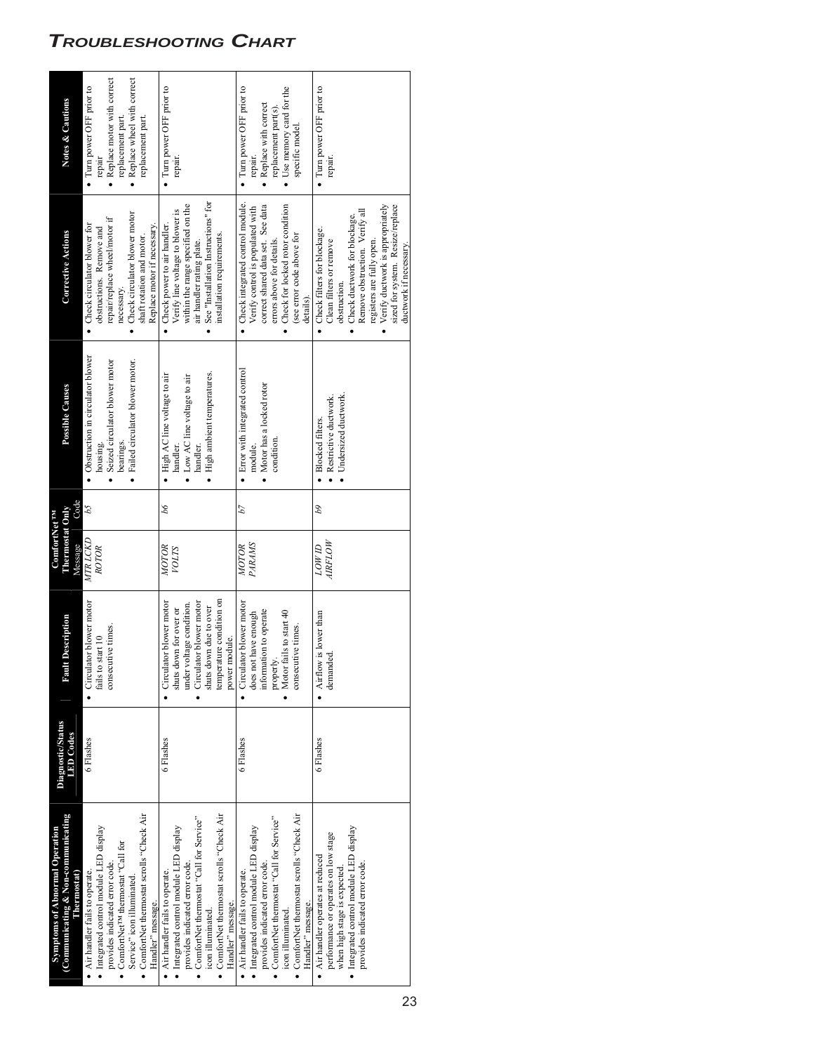# *TROUBLESHOOTING CHART*

| <b>Symptoms of Abnormal Operation</b>         | <b>Diagnostic/Status</b> |                           | ComfortNet <sup>TM</sup> |                   |                                      |                                     |                              |
|-----------------------------------------------|--------------------------|---------------------------|--------------------------|-------------------|--------------------------------------|-------------------------------------|------------------------------|
| (Communicating & Non-communicating            | <b>LED</b> Codes         | It Description<br>Esti    | Thermostat Only          |                   | Possible Causes                      | <b>Corrective Actions</b>           | <b>Notes &amp; Cautions</b>  |
|                                               | 6 Flashes                | • Circulator blower motor | MTR LCKD<br>Message      | Code<br>b5        | • Obstruction in circulator blower   | • Check circulator blower for       | • Turn power OFF prior to    |
| · Integrated control module LED display       |                          | fails to start 10         | ROTOR                    |                   | housing.                             | obstructions. Remove and            | repair                       |
|                                               |                          | consecutive times.        |                          |                   | · Seized circulator blower motor     | repair/replace wheel/motor if       | • Replace motor with correct |
| ComfortNet <sup>rM</sup> thermostat "Call for |                          |                           |                          |                   | bearings                             | necessary.                          | replacement part.            |
|                                               |                          |                           |                          |                   | · Failed circulator blower motor.    | Check circulator blower motor       | • Replace wheel with correct |
| ComfortNet thermostat scrolls "Check Air      |                          |                           |                          |                   |                                      | shaft rotation and motor.           | replacement part.            |
|                                               |                          |                           |                          |                   |                                      | Replace motor if necessary.         |                              |
|                                               | 6 Flashes                | Circulator blower motor   | MOTOR                    | 99                | • High AC line voltage to air        | Check power to air handler.         | • Turn power OFF prior to    |
| · Integrated control module LED display       |                          | shuts down for over or    | <b>NOTIS</b>             |                   | handler.                             | Verify line voltage to blower is    | repair.                      |
|                                               |                          | under voltage condition.  |                          |                   | $\bullet$ Low AC line voltage to air | within the range specified on the   |                              |
| ComfortNet thermostat "Call for Service"      |                          | Circulator blower motor   |                          |                   | handler.                             | air handler rating plate.           |                              |
|                                               |                          | shuts down due to over    |                          |                   | · High ambient temperatures.         | See "Installation Instructions" for |                              |
| ComfortNet thermostat scrolls "Check Air      |                          | temperature condition on  |                          |                   |                                      | installation requirements.          |                              |
|                                               |                          | power module.             |                          |                   |                                      |                                     |                              |
|                                               | 6 Flashes                | • Circulator blower motor | MOTOR                    | b7                | • Error with integrated control      | • Check integrated control module.  | • Turn power OFF prior to    |
| · Integrated control module LED display       |                          | does not have enough      | PARAMS                   |                   | module.                              | Verify control is populated with    | repair.                      |
|                                               |                          | information to operate    |                          |                   | • Motor has a locked rotor           | correct shared data set. See data   | • Replace with correct       |
| ComfortNet thermostat "Call for Service"      |                          | properly                  |                          |                   | condition.                           | errors above for details.           | replacement part(s).         |
|                                               |                          | • Motor fails to start 40 |                          |                   |                                      | Check for locked rotor condition    | • Use memory card for the    |
| ComfortNet thermostat scrolls "Check Air      |                          | consecutive times.        |                          |                   |                                      | (see error code above for           | specific model.              |
|                                               |                          |                           |                          |                   |                                      | details).                           |                              |
|                                               | 6 Flashes                | • Airflow is lower than   | <b>UMOT</b>              | $\overline{\rho}$ | · Blocked filters.                   | • Check filters for blockage.       | • Turn power OFF prior to    |
| performance or operates on low stage          |                          | demanded.                 | <b>AIRFLOW</b>           |                   | Restrictive ductwork.                | Clean filters or remove             | repair.                      |
|                                               |                          |                           |                          |                   | · Undersized ductwork.               | obstruction.                        |                              |
| · Integrated control module LED display       |                          |                           |                          |                   |                                      | Check ductwork for blockage.        |                              |
|                                               |                          |                           |                          |                   |                                      | Remove obstruction. Verify all      |                              |
|                                               |                          |                           |                          |                   |                                      | registers are fully open.           |                              |
|                                               |                          |                           |                          |                   |                                      | Verify ductwork is appropriately    |                              |
|                                               |                          |                           |                          |                   |                                      | sized for system. Resize/replace    |                              |
|                                               |                          |                           |                          |                   |                                      | ductwork if necessary.              |                              |